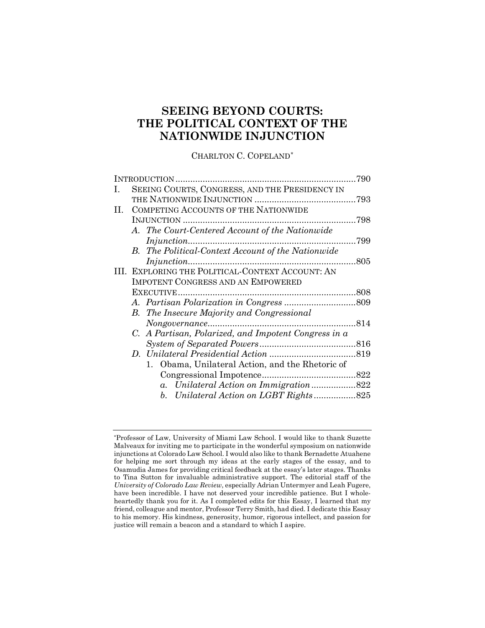# **SEEING BEYOND COURTS: THE POLITICAL CONTEXT OF THE NATIONWIDE INJUNCTION**

CHARLTON C. COPELAND[\\*](#page-0-0)

|                                                           | 790                                                                           |
|-----------------------------------------------------------|-------------------------------------------------------------------------------|
| SEEING COURTS, CONGRESS, AND THE PRESIDENCY IN            |                                                                               |
|                                                           |                                                                               |
| COMPETING ACCOUNTS OF THE NATIONWIDE                      |                                                                               |
|                                                           | 798                                                                           |
| A. The Court-Centered Account of the Nationwide           |                                                                               |
|                                                           | .799                                                                          |
| <b>B.</b> The Political-Context Account of the Nationwide |                                                                               |
|                                                           | 805                                                                           |
| III. EXPLORING THE POLITICAL-CONTEXT ACCOUNT: AN          |                                                                               |
| <b>IMPOTENT CONGRESS AND AN EMPOWERED</b>                 |                                                                               |
|                                                           |                                                                               |
|                                                           |                                                                               |
| <b>B.</b> The Insecure Majority and Congressional         |                                                                               |
|                                                           |                                                                               |
| C. A Partisan, Polarized, and Impotent Congress in a      |                                                                               |
|                                                           |                                                                               |
|                                                           |                                                                               |
| 1. Obama, Unilateral Action, and the Rhetoric of          |                                                                               |
|                                                           |                                                                               |
| $a_{\cdot}$                                               |                                                                               |
|                                                           |                                                                               |
|                                                           | Unilateral Action on Immigration822<br>b. Unilateral Action on LGBT Rights825 |

<span id="page-0-0"></span><sup>\*</sup>Professor of Law, University of Miami Law School. I would like to thank Suzette Malveaux for inviting me to participate in the wonderful symposium on nationwide injunctions at Colorado Law School. I would also like to thank Bernadette Atuahene for helping me sort through my ideas at the early stages of the essay, and to Osamudia James for providing critical feedback at the essay's later stages. Thanks to Tina Sutton for invaluable administrative support. The editorial staff of the *University of Colorado Law Review*, especially Adrian Untermyer and Leah Fugere, have been incredible. I have not deserved your incredible patience. But I wholeheartedly thank you for it. As I completed edits for this Essay, I learned that my friend, colleague and mentor, Professor Terry Smith, had died. I dedicate this Essay to his memory. His kindness, generosity, humor, rigorous intellect, and passion for justice will remain a beacon and a standard to which I aspire.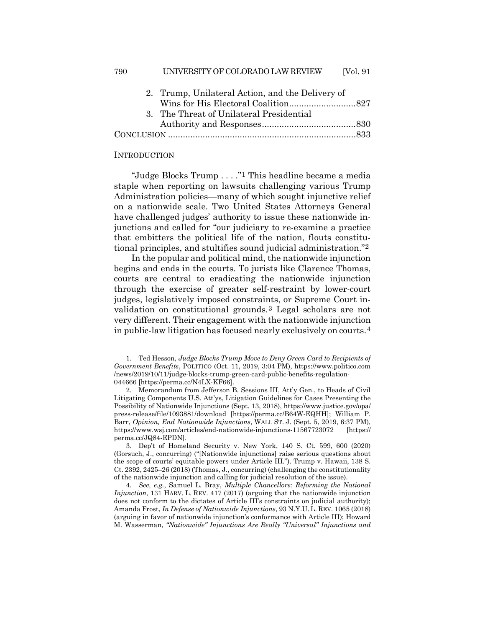| 790 | UNIVERSITY OF COLORADO LAW REVIEW                | [Vol. 91] |
|-----|--------------------------------------------------|-----------|
|     | 2. Trump, Unilateral Action, and the Delivery of |           |
|     |                                                  |           |
|     | 3. The Threat of Unilateral Presidential         |           |
|     |                                                  |           |
|     |                                                  |           |
|     |                                                  |           |

#### **INTRODUCTION**

"Judge Blocks Trump . . . ."[1](#page-1-0) This headline became a media staple when reporting on lawsuits challenging various Trump Administration policies—many of which sought injunctive relief on a nationwide scale. Two United States Attorneys General have challenged judges' authority to issue these nationwide injunctions and called for "our judiciary to re-examine a practice that embitters the political life of the nation, flouts constitutional principles, and stultifies sound judicial administration."[2](#page-1-1)

<span id="page-1-5"></span>In the popular and political mind, the nationwide injunction begins and ends in the courts. To jurists like Clarence Thomas, courts are central to eradicating the nationwide injunction through the exercise of greater self-restraint by lower-court judges, legislatively imposed constraints, or Supreme Court invalidation on constitutional grounds.[3](#page-1-2) Legal scholars are not very different. Their engagement with the nationwide injunction in public-law litigation has focused nearly exclusively on courts.[4](#page-1-3)

<span id="page-1-4"></span><span id="page-1-0"></span><sup>1.</sup> Ted Hesson, *Judge Blocks Trump Move to Deny Green Card to Recipients of Government Benefits*, POLITICO (Oct. 11, 2019, 3:04 PM), https://www.politico.com /news/2019/10/11/judge-blocks-trump-green-card-public-benefits-regulation-044666 [https://perma.cc/N4LX-KF66].

<span id="page-1-1"></span><sup>2.</sup> Memorandum from Jefferson B. Sessions III, Att'y Gen., to Heads of Civil Litigating Components U.S. Att'ys, Litigation Guidelines for Cases Presenting the Possibility of Nationwide Injunctions (Sept. 13, 2018), https://www.justice.gov/opa/ press-release/file/1093881/download [https://perma.cc/B64W-EQHH]; William P. Barr, *Opinion, End Nationwide Injunctions*, WALL ST. J. (Sept. 5, 2019, 6:37 PM), https://www.wsj.com/articles/end-nationwide-injunctions-11567723072 [https:// perma.cc/JQ84-EPDN].

<span id="page-1-2"></span><sup>3.</sup> Dep't of Homeland Security v. New York, 140 S. Ct. 599, 600 (2020) (Gorsuch, J., concurring) ("[Nationwide injunctions] raise serious questions about the scope of courts' equitable powers under Article III."). Trump v. Hawaii, 138 S. Ct. 2392, 2425–26 (2018) (Thomas, J., concurring) (challenging the constitutionality of the nationwide injunction and calling for judicial resolution of the issue).

<span id="page-1-3"></span><sup>4</sup>*. See, e.g.*, Samuel L. Bray, *Multiple Chancellors: Reforming the National Injunction*, 131 HARV. L. REV. 417 (2017) (arguing that the nationwide injunction does not conform to the dictates of Article III's constraints on judicial authority); Amanda Frost, *In Defense of Nationwide Injunctions*, 93 N.Y.U. L. REV. 1065 (2018) (arguing in favor of nationwide injunction's conformance with Article III); Howard M. Wasserman, *"Nationwide" Injunctions Are Really "Universal" Injunctions and*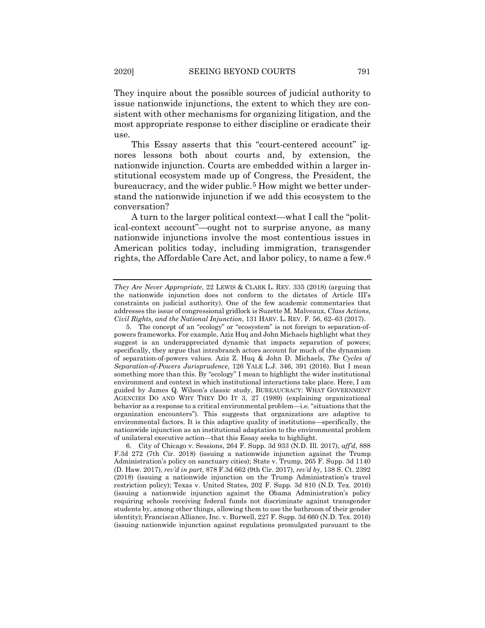They inquire about the possible sources of judicial authority to issue nationwide injunctions, the extent to which they are consistent with other mechanisms for organizing litigation, and the most appropriate response to either discipline or eradicate their use.

This Essay asserts that this "court-centered account" ignores lessons both about courts and, by extension, the nationwide injunction. Courts are embedded within a larger institutional ecosystem made up of Congress, the President, the bureaucracy, and the wider public.[5](#page-2-0) How might we better understand the nationwide injunction if we add this ecosystem to the conversation?

A turn to the larger political context—what I call the "political-context account"—ought not to surprise anyone, as many nationwide injunctions involve the most contentious issues in American politics today, including immigration, transgender rights, the Affordable Care Act, and labor policy, to name a few.[6](#page-2-1)

*They Are Never Appropriate*, 22 LEWIS & CLARK L. REV. 335 (2018) (arguing that the nationwide injunction does not conform to the dictates of Article III's constraints on judicial authority). One of the few academic commentaries that addresses the issue of congressional gridlock is Suzette M. Malveaux, *Class Actions, Civil Rights, and the National Injunction*, 131 HARV. L. REV. F. 56, 62–63 (2017).

<span id="page-2-0"></span><sup>5.</sup> The concept of an "ecology" or "ecosystem" is not foreign to separation-ofpowers frameworks. For example, Aziz Huq and John Michaels highlight what they suggest is an underappreciated dynamic that impacts separation of powers; specifically, they argue that intrabranch actors account for much of the dynamism of separation-of-powers values. Aziz Z. Huq & John D. Michaels, *The Cycles of Separation-of-Powers Jurisprudence*, 126 YALE L.J. 346, 391 (2016). But I mean something more than this. By "ecology" I mean to highlight the wider institutional environment and context in which institutional interactions take place. Here, I am guided by James Q. Wilson's classic study, BUREAUCRACY: WHAT GOVERNMENT AGENCIES DO AND WHY THEY DO IT 3, 27 (1989) (explaining organizational behavior as a response to a critical environmental problem—i.e. "situations that the organization encounters"). This suggests that organizations are adaptive to environmental factors. It is this adaptive quality of institutions—specifically, the nationwide injunction as an institutional adaptation to the environmental problem of unilateral executive action—that this Essay seeks to highlight.

<span id="page-2-1"></span><sup>6.</sup> City of Chicago v. Sessions, 264 F. Supp. 3d 933 (N.D. Ill. 2017), *aff'd*, 888 F.3d 272 (7th Cir. 2018) (issuing a nationwide injunction against the Trump Administration's policy on sanctuary cities); State v. Trump, 265 F. Supp. 3d 1140 (D. Haw. 2017), *rev'd in part*, 878 F.3d 662 (9th Cir. 2017), *rev'd by*, 138 S. Ct. 2392 (2018) (issuing a nationwide injunction on the Trump Administration's travel restriction policy); Texas v. United States, 202 F. Supp. 3d 810 (N.D. Tex. 2016) (issuing a nationwide injunction against the Obama Administration's policy requiring schools receiving federal funds not discriminate against transgender students by, among other things, allowing them to use the bathroom of their gender identity); Franciscan Alliance, Inc. v. Burwell, 227 F. Supp. 3d 660 (N.D. Tex. 2016) (issuing nationwide injunction against regulations promulgated pursuant to the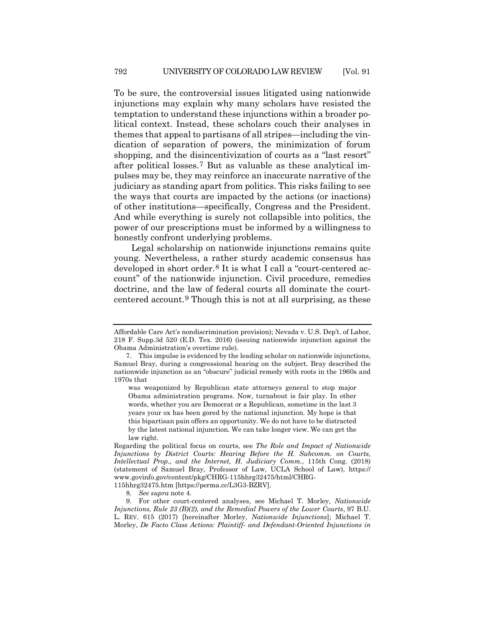<span id="page-3-3"></span>To be sure, the controversial issues litigated using nationwide injunctions may explain why many scholars have resisted the temptation to understand these injunctions within a broader political context. Instead, these scholars couch their analyses in themes that appeal to partisans of all stripes—including the vindication of separation of powers, the minimization of forum shopping, and the disincentivization of courts as a "last resort" after political losses.[7](#page-3-0) But as valuable as these analytical impulses may be, they may reinforce an inaccurate narrative of the judiciary as standing apart from politics. This risks failing to see the ways that courts are impacted by the actions (or inactions) of other institutions—specifically, Congress and the President. And while everything is surely not collapsible into politics, the power of our prescriptions must be informed by a willingness to honestly confront underlying problems.

Legal scholarship on nationwide injunctions remains quite young. Nevertheless, a rather sturdy academic consensus has developed in short order.[8](#page-3-1) It is what I call a "court-centered account" of the nationwide injunction. Civil procedure, remedies doctrine, and the law of federal courts all dominate the courtcentered account.[9](#page-3-2) Though this is not at all surprising, as these

<span id="page-3-4"></span>Affordable Care Act's nondiscrimination provision); Nevada v. U.S. Dep't. of Labor, 218 F. Supp.3d 520 (E.D. Tex. 2016) (issuing nationwide injunction against the Obama Administration's overtime rule).

<span id="page-3-0"></span><sup>7.</sup> This impulse is evidenced by the leading scholar on nationwide injunctions, Samuel Bray, during a congressional hearing on the subject. Bray described the nationwide injunction as an "obscure" judicial remedy with roots in the 1960s and 1970s that

was weaponized by Republican state attorneys general to stop major Obama administration programs. Now, turnabout is fair play. In other words, whether you are Democrat or a Republican, sometime in the last 3 years your ox has been gored by the national injunction. My hope is that this bipartisan pain offers an opportunity. We do not have to be distracted by the latest national injunction. We can take longer view. We can get the law right.

Regarding the political focus on courts, see *The Role and Impact of Nationwide Injunctions by District Courts: Hearing Before the H. Subcomm. on Courts, Intellectual Prop., and the Internet, H. Judiciary Comm.*, 115th Cong. (2018) (statement of Samuel Bray, Professor of Law, UCLA School of Law), https:// www.govinfo.gov/content/pkg/CHRG-115hhrg32475/html/CHRG-

<sup>115</sup>hhrg32475.htm [https://perma.cc/L3G3-BZRV].

<sup>8</sup>*. See supra* note [4.](#page-1-4)

<span id="page-3-2"></span><span id="page-3-1"></span><sup>9.</sup> For other court-centered analyses, see Michael T. Morley, *Nationwide Injunctions, Rule 23 (B)(2), and the Remedial Powers of the Lower Courts*, 97 B.U. L. REV. 615 (2017) [hereinafter Morley, *Nationwide Injunctions*]; Michael T. Morley, *De Facto Class Actions: Plaintiff- and Defendant-Oriented Injunctions in*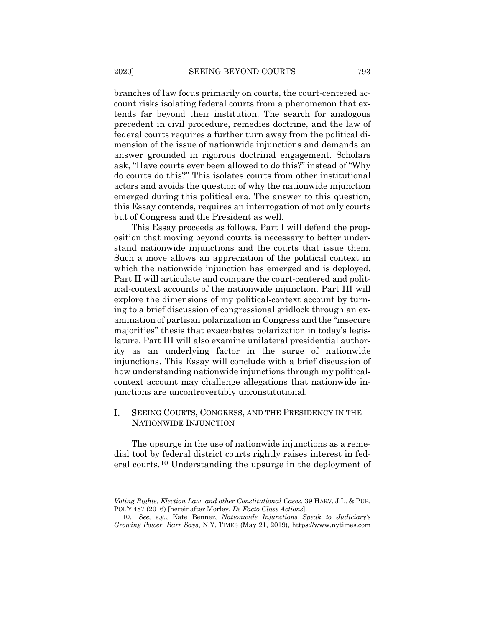branches of law focus primarily on courts, the court-centered account risks isolating federal courts from a phenomenon that extends far beyond their institution. The search for analogous precedent in civil procedure, remedies doctrine, and the law of federal courts requires a further turn away from the political dimension of the issue of nationwide injunctions and demands an answer grounded in rigorous doctrinal engagement. Scholars ask, "Have courts ever been allowed to do this?" instead of "Why do courts do this?" This isolates courts from other institutional actors and avoids the question of why the nationwide injunction emerged during this political era. The answer to this question, this Essay contends, requires an interrogation of not only courts but of Congress and the President as well.

This Essay proceeds as follows. Part I will defend the proposition that moving beyond courts is necessary to better understand nationwide injunctions and the courts that issue them. Such a move allows an appreciation of the political context in which the nationwide injunction has emerged and is deployed. Part II will articulate and compare the court-centered and political-context accounts of the nationwide injunction. Part III will explore the dimensions of my political-context account by turning to a brief discussion of congressional gridlock through an examination of partisan polarization in Congress and the "insecure majorities" thesis that exacerbates polarization in today's legislature. Part III will also examine unilateral presidential authority as an underlying factor in the surge of nationwide injunctions. This Essay will conclude with a brief discussion of how understanding nationwide injunctions through my politicalcontext account may challenge allegations that nationwide injunctions are uncontrovertibly unconstitutional.

### I. SEEING COURTS, CONGRESS, AND THE PRESIDENCY IN THE NATIONWIDE INJUNCTION

The upsurge in the use of nationwide injunctions as a remedial tool by federal district courts rightly raises interest in federal courts.[10](#page-4-0) Understanding the upsurge in the deployment of

*Voting Rights, Election Law, and other Constitutional Cases*, 39 HARV. J.L. & PUB. POL'Y 487 (2016) [hereinafter Morley, *De Facto Class Actions*].

<span id="page-4-0"></span><sup>10</sup>*. See, e.g.*, Kate Benner, *Nationwide Injunctions Speak to Judiciary's Growing Power, Barr Says*, N.Y. TIMES (May 21, 2019), https://www.nytimes.com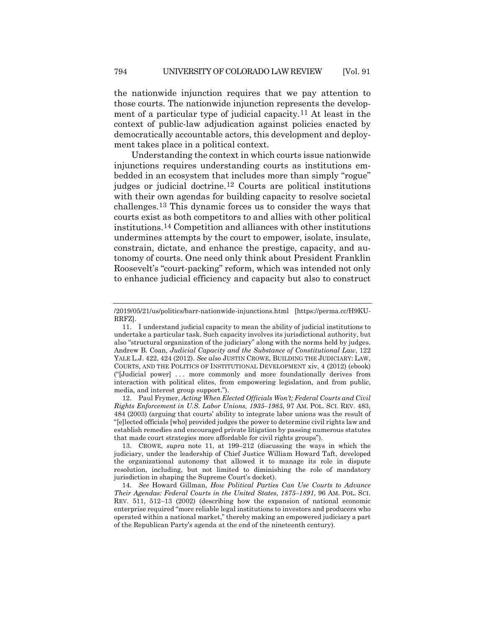<span id="page-5-0"></span>the nationwide injunction requires that we pay attention to those courts. The nationwide injunction represents the development of a particular type of judicial capacity.[11](#page-5-1) At least in the context of public-law adjudication against policies enacted by democratically accountable actors, this development and deployment takes place in a political context.

<span id="page-5-5"></span>Understanding the context in which courts issue nationwide injunctions requires understanding courts as institutions embedded in an ecosystem that includes more than simply "rogue" judges or judicial doctrine.[12](#page-5-2) Courts are political institutions with their own agendas for building capacity to resolve societal challenges.[13](#page-5-3) This dynamic forces us to consider the ways that courts exist as both competitors to and allies with other political institutions.[14](#page-5-4) Competition and alliances with other institutions undermines attempts by the court to empower, isolate, insulate, constrain, dictate, and enhance the prestige, capacity, and autonomy of courts. One need only think about President Franklin Roosevelt's "court-packing" reform, which was intended not only to enhance judicial efficiency and capacity but also to construct

<span id="page-5-2"></span>12. Paul Frymer, *Acting When Elected Officials Won't; Federal Courts and Civil Rights Enforcement in U.S. Labor Unions, 1935–1985*, 97 AM. POL. SCI. REV. 483, 484 (2003) (arguing that courts' ability to integrate labor unions was the result of "[e]lected officials [who] provided judges the power to determine civil rights law and establish remedies and encouraged private litigation by passing numerous statutes that made court strategies more affordable for civil rights groups").

<span id="page-5-3"></span>13. CROWE, *supra* note [11,](#page-5-0) at 199–212 (discussing the ways in which the judiciary, under the leadership of Chief Justice William Howard Taft, developed the organizational autonomy that allowed it to manage its role in dispute resolution, including, but not limited to diminishing the role of mandatory jurisdiction in shaping the Supreme Court's docket).

<span id="page-5-4"></span>14*. See* Howard Gillman, *How Political Parties Can Use Courts to Advance Their Agendas: Federal Courts in the United States*, *1875–1891*, 96 AM. POL. SCI. REV. 511, 512–13 (2002) (describing how the expansion of national economic enterprise required "more reliable legal institutions to investors and producers who operated within a national market," thereby making an empowered judiciary a part of the Republican Party's agenda at the end of the nineteenth century).

<sup>/2019/05/21/</sup>us/politics/barr-nationwide-injunctions.html [https://perma.cc/H9KU-RRFZ].

<span id="page-5-1"></span><sup>11.</sup> I understand judicial capacity to mean the ability of judicial institutions to undertake a particular task. Such capacity involves its jurisdictional authority, but also "structural organization of the judiciary" along with the norms held by judges. Andrew B. Coan, *Judicial Capacity and the Substance of Constitutional Law*, 122 YALE L.J. 422, 424 (2012). *See also* JUSTIN CROWE, BUILDING THE JUDICIARY: LAW, COURTS, AND THE POLITICS OF INSTITUTIONAL DEVELOPMENT xiv, 4 (2012) (ebook) ("[Judicial power] . . . more commonly and more foundationally derives from interaction with political elites, from empowering legislation, and from public, media, and interest group support.").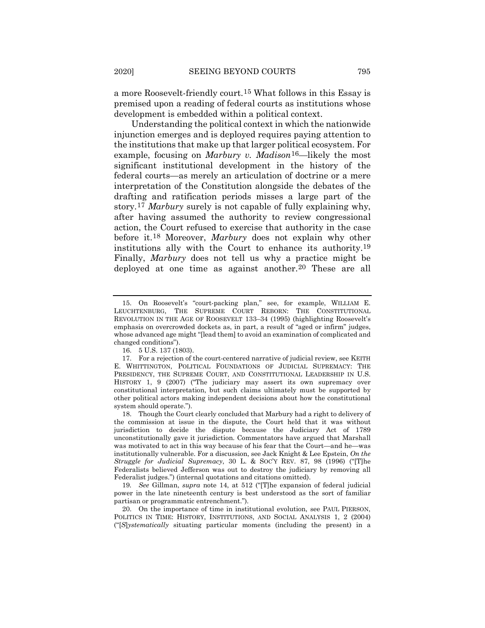a more Roosevelt-friendly court.[15](#page-6-0) What follows in this Essay is premised upon a reading of federal courts as institutions whose development is embedded within a political context.

Understanding the political context in which the nationwide injunction emerges and is deployed requires paying attention to the institutions that make up that larger political ecosystem. For example, focusing on *Marbury v. Madison*[16](#page-6-1)—likely the most significant institutional development in the history of the federal courts—as merely an articulation of doctrine or a mere interpretation of the Constitution alongside the debates of the drafting and ratification periods misses a large part of the story.[17](#page-6-2) *Marbury* surely is not capable of fully explaining why, after having assumed the authority to review congressional action, the Court refused to exercise that authority in the case before it.[18](#page-6-3) Moreover, *Marbury* does not explain why other institutions ally with the Court to enhance its authority[.19](#page-6-4) Finally, *Marbury* does not tell us why a practice might be deployed at one time as against another.<sup>[20](#page-6-5)</sup> These are all

<span id="page-6-6"></span><span id="page-6-0"></span><sup>15.</sup> On Roosevelt's "court-packing plan," see, for example, WILLIAM E. LEUCHTENBURG, THE SUPREME COURT REBORN: THE CONSTITUTIONAL REVOLUTION IN THE AGE OF ROOSEVELT 133–34 (1995) (highlighting Roosevelt's emphasis on overcrowded dockets as, in part, a result of "aged or infirm" judges, whose advanced age might "[lead them] to avoid an examination of complicated and changed conditions").

<sup>16.</sup> 5 U.S. 137 (1803).

<span id="page-6-2"></span><span id="page-6-1"></span><sup>17.</sup> For a rejection of the court-centered narrative of judicial review, see KEITH E. WHITTINGTON, POLITICAL FOUNDATIONS OF JUDICIAL SUPREMACY: THE PRESIDENCY, THE SUPREME COURT, AND CONSTITUTIONAL LEADERSHIP IN U.S. HISTORY 1, 9 (2007) ("The judiciary may assert its own supremacy over constitutional interpretation, but such claims ultimately must be supported by other political actors making independent decisions about how the constitutional system should operate.").

<span id="page-6-3"></span><sup>18.</sup> Though the Court clearly concluded that Marbury had a right to delivery of the commission at issue in the dispute, the Court held that it was without jurisdiction to decide the dispute because the Judiciary Act of 1789 unconstitutionally gave it jurisdiction. Commentators have argued that Marshall was motivated to act in this way because of his fear that the Court—and he—was institutionally vulnerable. For a discussion, see Jack Knight & Lee Epstein, *On the Struggle for Judicial Supremacy*, 30 L. & SOC'Y REV. 87, 98 (1996) ("[T]he Federalists believed Jefferson was out to destroy the judiciary by removing all Federalist judges.") (internal quotations and citations omitted).

<span id="page-6-4"></span><sup>19</sup>*. See* Gillman, *supra* note [14,](#page-5-5) at 512 ("[T]he expansion of federal judicial power in the late nineteenth century is best understood as the sort of familiar partisan or programmatic entrenchment.").

<span id="page-6-5"></span><sup>20.</sup> On the importance of time in institutional evolution, see PAUL PIERSON, POLITICS IN TIME: HISTORY, INSTITUTIONS, AND SOCIAL ANALYSIS 1, 2 (2004) ("[*S*]*ystematically* situating particular moments (including the present) in a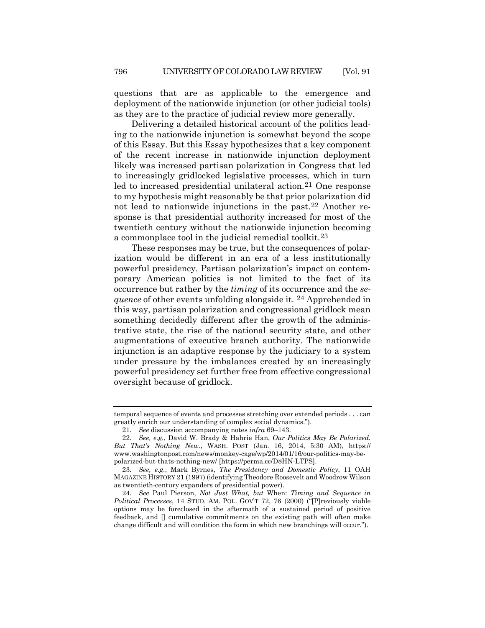questions that are as applicable to the emergence and deployment of the nationwide injunction (or other judicial tools) as they are to the practice of judicial review more generally.

Delivering a detailed historical account of the politics leading to the nationwide injunction is somewhat beyond the scope of this Essay. But this Essay hypothesizes that a key component of the recent increase in nationwide injunction deployment likely was increased partisan polarization in Congress that led to increasingly gridlocked legislative processes, which in turn led to increased presidential unilateral action.<sup>[21](#page-7-0)</sup> One response to my hypothesis might reasonably be that prior polarization did not lead to nationwide injunctions in the past.[22](#page-7-1) Another response is that presidential authority increased for most of the twentieth century without the nationwide injunction becoming a commonplace tool in the judicial remedial toolkit.[23](#page-7-2)

These responses may be true, but the consequences of polarization would be different in an era of a less institutionally powerful presidency. Partisan polarization's impact on contemporary American politics is not limited to the fact of its occurrence but rather by the *timing* of its occurrence and the *sequence* of other events unfolding alongside it. [24](#page-7-3) Apprehended in this way, partisan polarization and congressional gridlock mean something decidedly different after the growth of the administrative state, the rise of the national security state, and other augmentations of executive branch authority. The nationwide injunction is an adaptive response by the judiciary to a system under pressure by the imbalances created by an increasingly powerful presidency set further free from effective congressional oversight because of gridlock.

temporal sequence of events and processes stretching over extended periods . . . can greatly enrich our understanding of complex social dynamics.").

<sup>21</sup>*. See* discussion accompanying notes *infra* 69–143.

<span id="page-7-1"></span><span id="page-7-0"></span><sup>22</sup>*. See, e.g.*, David W. Brady & Hahrie Han, *Our Politics May Be Polarized. But That's Nothing New.*, WASH. POST (Jan. 16, 2014, 5:30 AM), https:// www.washingtonpost.com/news/monkey-cage/wp/2014/01/16/our-politics-may-bepolarized-but-thats-nothing-new/ [https://perma.cc/D8HN-LTPS].

<span id="page-7-2"></span><sup>23</sup>*. See, e.g.*, Mark Byrnes, *The Presidency and Domestic Policy*, 11 OAH MAGAZINE HISTORY 21 (1997) (identifying Theodore Roosevelt and Woodrow Wilson as twentieth-century expanders of presidential power).

<span id="page-7-3"></span><sup>24</sup>*. See* Paul Pierson, *Not Just What, but* When: *Timing and Sequence in Political Processes*, 14 STUD. AM. POL. GOV'T 72, 76 (2000) ("[P]reviously viable options may be foreclosed in the aftermath of a sustained period of positive feedback, and [] cumulative commitments on the existing path will often make change difficult and will condition the form in which new branchings will occur.").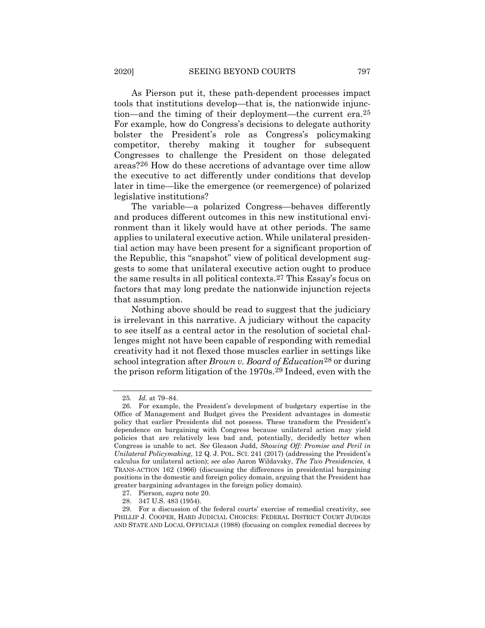As Pierson put it, these path-dependent processes impact tools that institutions develop—that is, the nationwide injunction—and the timing of their deployment—the current era[.25](#page-8-0) For example, how do Congress's decisions to delegate authority bolster the President's role as Congress's policymaking competitor, thereby making it tougher for subsequent Congresses to challenge the President on those delegated areas?[26](#page-8-1) How do these accretions of advantage over time allow the executive to act differently under conditions that develop later in time—like the emergence (or reemergence) of polarized legislative institutions?

<span id="page-8-5"></span>The variable—a polarized Congress—behaves differently and produces different outcomes in this new institutional environment than it likely would have at other periods. The same applies to unilateral executive action. While unilateral presidential action may have been present for a significant proportion of the Republic, this "snapshot" view of political development suggests to some that unilateral executive action ought to produce the same results in all political contexts.[27](#page-8-2) This Essay's focus on factors that may long predate the nationwide injunction rejects that assumption.

Nothing above should be read to suggest that the judiciary is irrelevant in this narrative. A judiciary without the capacity to see itself as a central actor in the resolution of societal challenges might not have been capable of responding with remedial creativity had it not flexed those muscles earlier in settings like school integration after *Brown v. Board of Education*[28](#page-8-3) or during the prison reform litigation of the 1970s.[29](#page-8-4) Indeed, even with the

<sup>25</sup>*. Id.* at 79–84.

<span id="page-8-1"></span><span id="page-8-0"></span><sup>26.</sup> For example, the President's development of budgetary expertise in the Office of Management and Budget gives the President advantages in domestic policy that earlier Presidents did not possess. These transform the President's dependence on bargaining with Congress because unilateral action may yield policies that are relatively less bad and, potentially, decidedly better when Congress is unable to act. *See* Gleason Judd, *Showing Off: Promise and Peril in Unilateral Policymaking*, 12 Q. J. POL. SCI. 241 (2017) (addressing the President's calculus for unilateral action); *see also* Aaron Wildavsky, *The Two Presidencies*, 4 TRANS-ACTION 162 (1966) (discussing the differences in presidential bargaining positions in the domestic and foreign policy domain, arguing that the President has greater bargaining advantages in the foreign policy domain).

<sup>27.</sup> Pierson, *supra* not[e 20.](#page-6-6)

<sup>28.</sup> 347 U.S. 483 (1954).

<span id="page-8-4"></span><span id="page-8-3"></span><span id="page-8-2"></span><sup>29.</sup> For a discussion of the federal courts' exercise of remedial creativity, see PHILLIP J. COOPER, HARD JUDICIAL CHOICES: FEDERAL DISTRICT COURT JUDGES AND STATE AND LOCAL OFFICIALS (1988) (focusing on complex remedial decrees by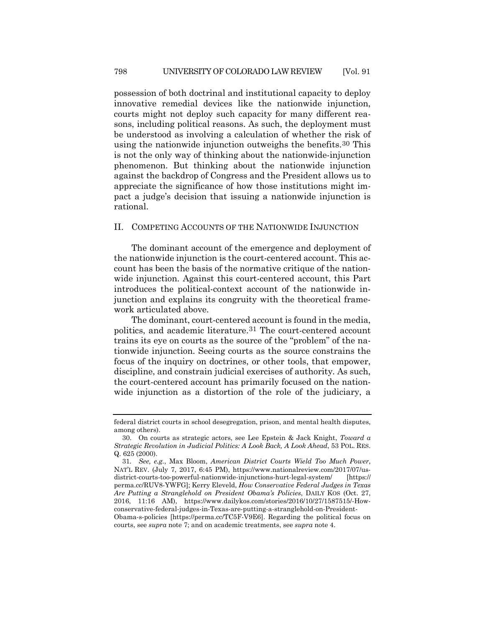possession of both doctrinal and institutional capacity to deploy innovative remedial devices like the nationwide injunction, courts might not deploy such capacity for many different reasons, including political reasons. As such, the deployment must be understood as involving a calculation of whether the risk of using the nationwide injunction outweighs the benefits.[30](#page-9-0) This is not the only way of thinking about the nationwide-injunction phenomenon. But thinking about the nationwide injunction against the backdrop of Congress and the President allows us to appreciate the significance of how those institutions might impact a judge's decision that issuing a nationwide injunction is rational.

### II. COMPETING ACCOUNTS OF THE NATIONWIDE INJUNCTION

The dominant account of the emergence and deployment of the nationwide injunction is the court-centered account. This account has been the basis of the normative critique of the nationwide injunction. Against this court-centered account, this Part introduces the political-context account of the nationwide injunction and explains its congruity with the theoretical framework articulated above.

The dominant, court-centered account is found in the media, politics, and academic literature[.31](#page-9-1) The court-centered account trains its eye on courts as the source of the "problem" of the nationwide injunction. Seeing courts as the source constrains the focus of the inquiry on doctrines, or other tools, that empower, discipline, and constrain judicial exercises of authority. As such, the court-centered account has primarily focused on the nationwide injunction as a distortion of the role of the judiciary, a

courts, see *supra* note [7;](#page-3-3) and on academic treatments, see *supra* not[e 4.](#page-1-4)

federal district courts in school desegregation, prison, and mental health disputes, among others).

<span id="page-9-0"></span><sup>30.</sup> On courts as strategic actors, see Lee Epstein & Jack Knight, *Toward a Strategic Revolution in Judicial Politics: A Look Back, A Look Ahead*, 53 POL. RES. Q. 625 (2000).

<span id="page-9-1"></span><sup>31</sup>*. See, e.g.*, Max Bloom, *American District Courts Wield Too Much Power*, NAT'L REV. (July 7, 2017, 6:45 PM), https://www.nationalreview.com/2017/07/usdistrict-courts-too-powerful-nationwide-injunctions-hurt-legal-system/ [https:// perma.cc/RUV8-YWFG]; Kerry Eleveld, *How Conservative Federal Judges in Texas Are Putting a Stranglehold on President Obama's Policies*, DAILY KOS (Oct. 27, 2016, 11:16 AM), https://www.dailykos.com/stories/2016/10/27/1587515/-Howconservative-federal-judges-in-Texas-are-putting-a-stranglehold-on-President-Obama-s-policies [https://perma.cc/TC5F-V9E6]. Regarding the political focus on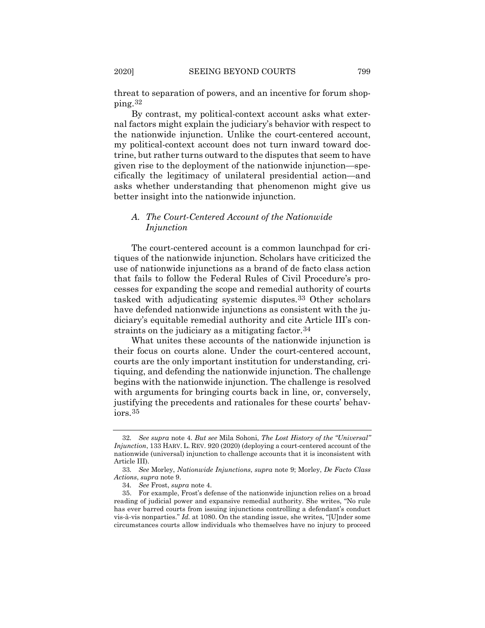threat to separation of powers, and an incentive for forum shopping.[32](#page-10-0)

By contrast, my political-context account asks what external factors might explain the judiciary's behavior with respect to the nationwide injunction. Unlike the court-centered account, my political-context account does not turn inward toward doctrine, but rather turns outward to the disputes that seem to have given rise to the deployment of the nationwide injunction—specifically the legitimacy of unilateral presidential action—and asks whether understanding that phenomenon might give us better insight into the nationwide injunction.

# *A. The Court-Centered Account of the Nationwide Injunction*

The court-centered account is a common launchpad for critiques of the nationwide injunction. Scholars have criticized the use of nationwide injunctions as a brand of de facto class action that fails to follow the Federal Rules of Civil Procedure's processes for expanding the scope and remedial authority of courts tasked with adjudicating systemic disputes.[33](#page-10-1) Other scholars have defended nationwide injunctions as consistent with the judiciary's equitable remedial authority and cite Article III's con-straints on the judiciary as a mitigating factor.<sup>[34](#page-10-2)</sup>

What unites these accounts of the nationwide injunction is their focus on courts alone. Under the court-centered account, courts are the only important institution for understanding, critiquing, and defending the nationwide injunction. The challenge begins with the nationwide injunction. The challenge is resolved with arguments for bringing courts back in line, or, conversely, justifying the precedents and rationales for these courts' behaviors.[35](#page-10-3)

<span id="page-10-0"></span><sup>32</sup>*. See supra* note [4.](#page-1-4) *But see* Mila Sohoni, *The Lost History of the "Universal" Injunction*, 133 HARV. L. REV. 920 (2020) (deploying a court-centered account of the nationwide (universal) injunction to challenge accounts that it is inconsistent with Article III).

<span id="page-10-1"></span><sup>33</sup>*. See* Morley, *Nationwide Injunctions*, *supra* note [9;](#page-3-4) Morley, *De Facto Class Actions*, *supra* not[e 9.](#page-3-4)

<sup>34</sup>*. See* Frost, *supra* not[e 4.](#page-1-4)

<span id="page-10-3"></span><span id="page-10-2"></span><sup>35.</sup> For example, Frost's defense of the nationwide injunction relies on a broad reading of judicial power and expansive remedial authority. She writes, "No rule has ever barred courts from issuing injunctions controlling a defendant's conduct vis-à-vis nonparties." *Id.* at 1080. On the standing issue, she writes, "[U]nder some circumstances courts allow individuals who themselves have no injury to proceed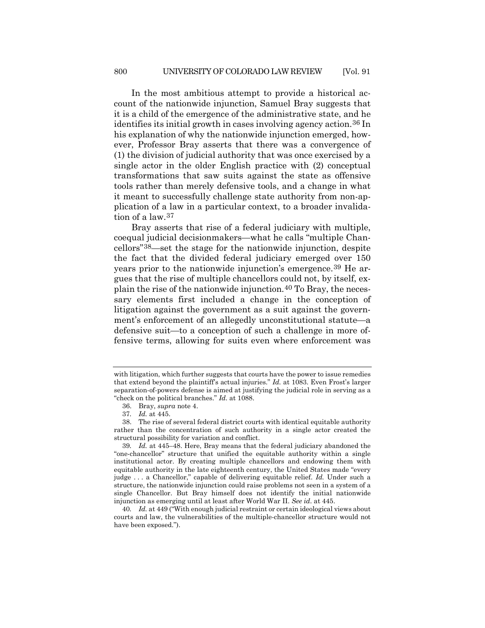In the most ambitious attempt to provide a historical account of the nationwide injunction, Samuel Bray suggests that it is a child of the emergence of the administrative state, and he identifies its initial growth in cases involving agency action.[36](#page-11-0) In his explanation of why the nationwide injunction emerged, however, Professor Bray asserts that there was a convergence of (1) the division of judicial authority that was once exercised by a single actor in the older English practice with (2) conceptual transformations that saw suits against the state as offensive tools rather than merely defensive tools, and a change in what it meant to successfully challenge state authority from non-application of a law in a particular context, to a broader invalidation of a law.[37](#page-11-1)

Bray asserts that rise of a federal judiciary with multiple, coequal judicial decisionmakers—what he calls "multiple Chancellors"[38](#page-11-2)—set the stage for the nationwide injunction, despite the fact that the divided federal judiciary emerged over 150 years prior to the nationwide injunction's emergence.[39](#page-11-3) He argues that the rise of multiple chancellors could not, by itself, explain the rise of the nationwide injunction.[40](#page-11-4) To Bray, the necessary elements first included a change in the conception of litigation against the government as a suit against the government's enforcement of an allegedly unconstitutional statute—a defensive suit—to a conception of such a challenge in more offensive terms, allowing for suits even where enforcement was

with litigation, which further suggests that courts have the power to issue remedies that extend beyond the plaintiff's actual injuries." *Id.* at 1083. Even Frost's larger separation-of-powers defense is aimed at justifying the judicial role in serving as a "check on the political branches." *Id.* at 1088.

<sup>36.</sup> Bray, *supra* note [4.](#page-1-4)

<sup>37</sup>*. Id.* at 445.

<span id="page-11-2"></span><span id="page-11-1"></span><span id="page-11-0"></span><sup>38.</sup> The rise of several federal district courts with identical equitable authority rather than the concentration of such authority in a single actor created the structural possibility for variation and conflict.

<span id="page-11-3"></span><sup>39</sup>*. Id.* at 445–48. Here, Bray means that the federal judiciary abandoned the "one-chancellor" structure that unified the equitable authority within a single institutional actor. By creating multiple chancellors and endowing them with equitable authority in the late eighteenth century, the United States made "every judge . . . a Chancellor," capable of delivering equitable relief. *Id.* Under such a structure, the nationwide injunction could raise problems not seen in a system of a single Chancellor. But Bray himself does not identify the initial nationwide injunction as emerging until at least after World War II. *See id*. at 445.

<span id="page-11-4"></span><sup>40</sup>*. Id.* at 449 ("With enough judicial restraint or certain ideological views about courts and law, the vulnerabilities of the multiple-chancellor structure would not have been exposed.").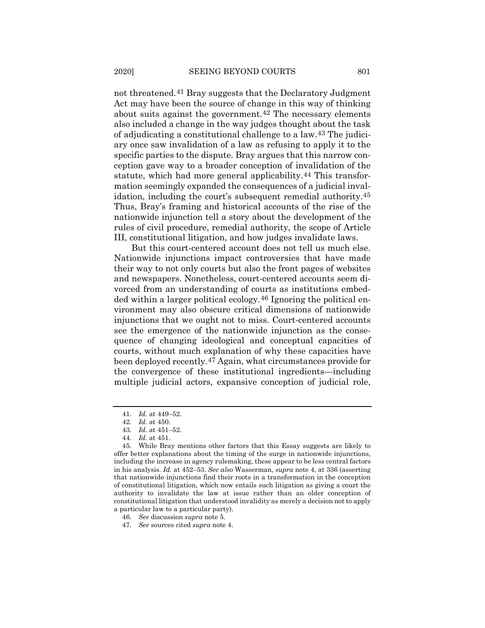not threatened.[41](#page-12-0) Bray suggests that the Declaratory Judgment Act may have been the source of change in this way of thinking about suits against the government.[42](#page-12-1) The necessary elements also included a change in the way judges thought about the task of adjudicating a constitutional challenge to a law.[43](#page-12-2) The judiciary once saw invalidation of a law as refusing to apply it to the specific parties to the dispute. Bray argues that this narrow conception gave way to a broader conception of invalidation of the statute, which had more general applicability.<sup>[44](#page-12-3)</sup> This transformation seemingly expanded the consequences of a judicial invalidation, including the court's subsequent remedial authority[.45](#page-12-4) Thus, Bray's framing and historical accounts of the rise of the nationwide injunction tell a story about the development of the rules of civil procedure, remedial authority, the scope of Article III, constitutional litigation, and how judges invalidate laws.

But this court-centered account does not tell us much else. Nationwide injunctions impact controversies that have made their way to not only courts but also the front pages of websites and newspapers. Nonetheless, court-centered accounts seem divorced from an understanding of courts as institutions embedded within a larger political ecology.[46](#page-12-5) Ignoring the political environment may also obscure critical dimensions of nationwide injunctions that we ought not to miss. Court-centered accounts see the emergence of the nationwide injunction as the consequence of changing ideological and conceptual capacities of courts, without much explanation of why these capacities have been deployed recently.[47](#page-12-6) Again, what circumstances provide for the convergence of these institutional ingredients—including multiple judicial actors, expansive conception of judicial role,

<sup>41</sup>*. Id.* at 449–52.

<sup>42</sup>*. Id.* at 450.

<sup>43</sup>*. Id.* at 451–52.

<sup>44</sup>*. Id.* at 451.

<span id="page-12-4"></span><span id="page-12-3"></span><span id="page-12-2"></span><span id="page-12-1"></span><span id="page-12-0"></span><sup>45.</sup> While Bray mentions other factors that this Essay suggests are likely to offer better explanations about the timing of the surge in nationwide injunctions, including the increase in agency rulemaking, these appear to be less central factors in his analysis. *Id.* at 452–53. *See also* Wasserman, *supra* note [4,](#page-1-4) at 336 (asserting that nationwide injunctions find their roots in a transformation in the conception of constitutional litigation, which now entails such litigation as giving a court the authority to invalidate the law at issue rather than an older conception of constitutional litigation that understood invalidity as merely a decision not to apply a particular law to a particular party).

<span id="page-12-5"></span><sup>46</sup>*. See* discussion *supra* note 5.

<span id="page-12-6"></span><sup>47</sup>*. See* sources cited *supra* note 4.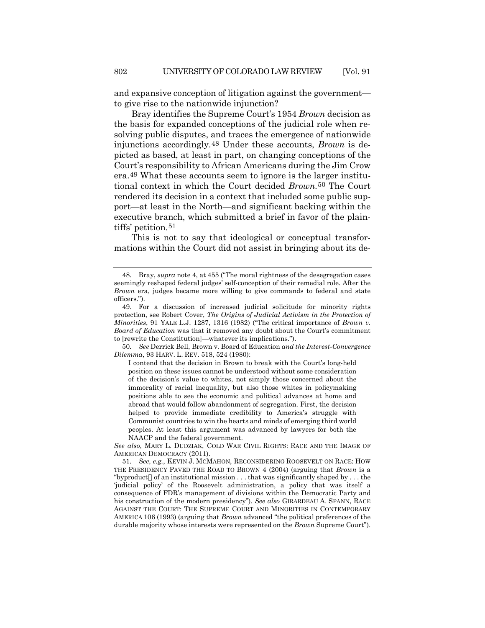and expansive conception of litigation against the government to give rise to the nationwide injunction?

Bray identifies the Supreme Court's 1954 *Brown* decision as the basis for expanded conceptions of the judicial role when resolving public disputes, and traces the emergence of nationwide injunctions accordingly.[48](#page-13-0) Under these accounts, *Brown* is depicted as based, at least in part, on changing conceptions of the Court's responsibility to African Americans during the Jim Crow era.[49](#page-13-1) What these accounts seem to ignore is the larger institutional context in which the Court decided *Brown.*[50](#page-13-2) The Court rendered its decision in a context that included some public support—at least in the North—and significant backing within the executive branch, which submitted a brief in favor of the plain-tiffs' petition.<sup>[51](#page-13-3)</sup>

This is not to say that ideological or conceptual transformations within the Court did not assist in bringing about its de-

<span id="page-13-2"></span>50*. See* Derrick Bell, Brown v. Board of Education *and the Interest-Convergence Dilemma*, 93 HARV. L. REV. 518, 524 (1980):

I contend that the decision in Brown to break with the Court's long-held position on these issues cannot be understood without some consideration of the decision's value to whites, not simply those concerned about the immorality of racial inequality, but also those whites in policymaking positions able to see the economic and political advances at home and abroad that would follow abandonment of segregation. First, the decision helped to provide immediate credibility to America's struggle with Communist countries to win the hearts and minds of emerging third world peoples. At least this argument was advanced by lawyers for both the NAACP and the federal government.

*See also*, MARY L. DUDZIAK, COLD WAR CIVIL RIGHTS: RACE AND THE IMAGE OF AMERICAN DEMOCRACY (2011).

<span id="page-13-3"></span>51*. See, e.g.*, KEVIN J. MCMAHON, RECONSIDERING ROOSEVELT ON RACE: HOW THE PRESIDENCY PAVED THE ROAD TO BROWN 4 (2004) (arguing that *Brown* is a "byproduct  $\lceil$  of an institutional mission  $\dots$  that was significantly shaped by  $\dots$  the 'judicial policy' of the Roosevelt administration, a policy that was itself a consequence of FDR's management of divisions within the Democratic Party and his construction of the modern presidency"). *See also* GIRARDEAU A. SPANN, RACE AGAINST THE COURT: THE SUPREME COURT AND MINORITIES IN CONTEMPORARY AMERICA 106 (1993) (arguing that *Brown* advanced "the political preferences of the durable majority whose interests were represented on the *Brown* Supreme Court").

<span id="page-13-0"></span><sup>48.</sup> Bray, *supra* not[e 4,](#page-1-4) at 455 ("The moral rightness of the desegregation cases seemingly reshaped federal judges' self-conception of their remedial role. After the *Brown* era, judges became more willing to give commands to federal and state officers.").

<span id="page-13-1"></span><sup>49.</sup> For a discussion of increased judicial solicitude for minority rights protection, see Robert Cover, *The Origins of Judicial Activism in the Protection of Minorities*, 91 YALE L.J. 1287, 1316 (1982) ("The critical importance of *Brown v. Board of Education* was that it removed any doubt about the Court's commitment to [rewrite the Constitution]—whatever its implications.").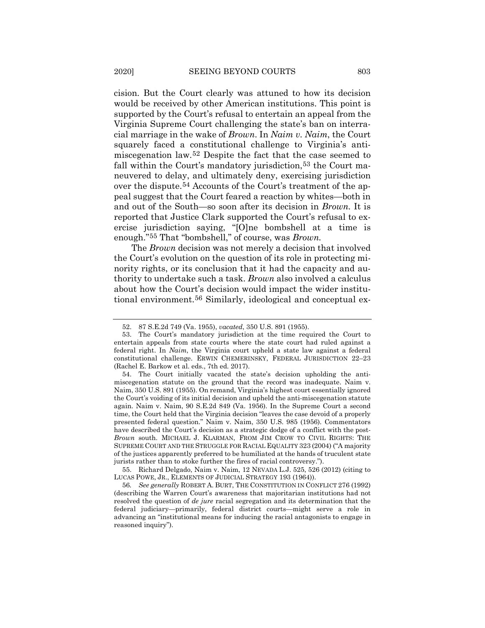cision. But the Court clearly was attuned to how its decision would be received by other American institutions. This point is supported by the Court's refusal to entertain an appeal from the Virginia Supreme Court challenging the state's ban on interracial marriage in the wake of *Brown*. In *Naim v. Naim*, the Court squarely faced a constitutional challenge to Virginia's antimiscegenation law.[52](#page-14-0) Despite the fact that the case seemed to fall within the Court's mandatory jurisdiction,<sup>[53](#page-14-1)</sup> the Court maneuvered to delay, and ultimately deny, exercising jurisdiction over the dispute.[54](#page-14-2) Accounts of the Court's treatment of the appeal suggest that the Court feared a reaction by whites—both in and out of the South—so soon after its decision in *Brown.* It is reported that Justice Clark supported the Court's refusal to exercise jurisdiction saying, "[O]ne bombshell at a time is enough."[55](#page-14-3) That "bombshell," of course, was *Brown.*

The *Brown* decision was not merely a decision that involved the Court's evolution on the question of its role in protecting minority rights, or its conclusion that it had the capacity and authority to undertake such a task. *Brown* also involved a calculus about how the Court's decision would impact the wider institutional environment.[56](#page-14-4) Similarly, ideological and conceptual ex-

<span id="page-14-3"></span>55. Richard Delgado, Naim v. Naim, 12 NEVADA L.J. 525, 526 (2012) (citing to LUCAS POWE, JR., ELEMENTS OF JUDICIAL STRATEGY 193 (1964)).

<sup>52.</sup> 87 S.E.2d 749 (Va. 1955), *vacated*, 350 U.S. 891 (1955).

<span id="page-14-1"></span><span id="page-14-0"></span><sup>53.</sup> The Court's mandatory jurisdiction at the time required the Court to entertain appeals from state courts where the state court had ruled against a federal right. In *Naim*, the Virginia court upheld a state law against a federal constitutional challenge. ERWIN CHEMERINSKY, FEDERAL JURISDICTION 22–23 (Rachel E. Barkow et al. eds., 7th ed. 2017).

<span id="page-14-2"></span><sup>54.</sup> The Court initially vacated the state's decision upholding the antimiscegenation statute on the ground that the record was inadequate. Naim v. Naim, 350 U.S. 891 (1955). On remand, Virginia's highest court essentially ignored the Court's voiding of its initial decision and upheld the anti-miscegenation statute again. Naim v. Naim, 90 S.E.2d 849 (Va. 1956). In the Supreme Court a second time, the Court held that the Virginia decision "leaves the case devoid of a properly presented federal question." Naim v. Naim, 350 U.S. 985 (1956). Commentators have described the Court's decision as a strategic dodge of a conflict with the post-*Brown* south. MICHAEL J. KLARMAN, FROM JIM CROW TO CIVIL RIGHTS: THE SUPREME COURT AND THE STRUGGLE FOR RACIAL EQUALITY 323 (2004) ("A majority of the justices apparently preferred to be humiliated at the hands of truculent state jurists rather than to stoke further the fires of racial controversy.").

<span id="page-14-4"></span><sup>56</sup>*. See generally* ROBERT A. BURT, THE CONSTITUTION IN CONFLICT 276 (1992) (describing the Warren Court's awareness that majoritarian institutions had not resolved the question of *de jure* racial segregation and its determination that the federal judiciary—primarily, federal district courts—might serve a role in advancing an "institutional means for inducing the racial antagonists to engage in reasoned inquiry").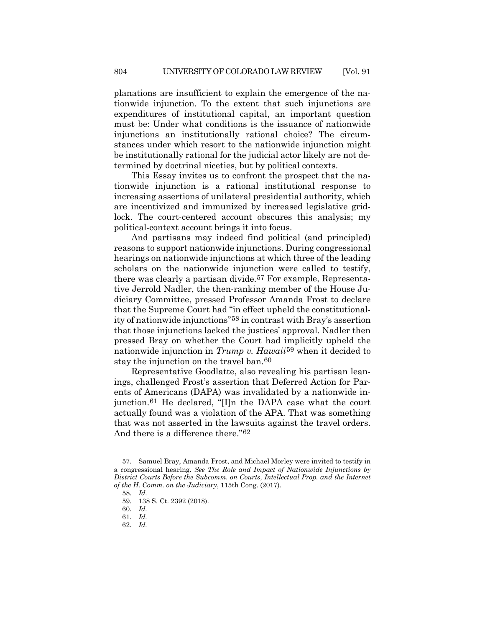planations are insufficient to explain the emergence of the nationwide injunction. To the extent that such injunctions are expenditures of institutional capital, an important question must be: Under what conditions is the issuance of nationwide injunctions an institutionally rational choice? The circumstances under which resort to the nationwide injunction might be institutionally rational for the judicial actor likely are not determined by doctrinal niceties, but by political contexts.

This Essay invites us to confront the prospect that the nationwide injunction is a rational institutional response to increasing assertions of unilateral presidential authority, which are incentivized and immunized by increased legislative gridlock. The court-centered account obscures this analysis; my political-context account brings it into focus.

And partisans may indeed find political (and principled) reasons to support nationwide injunctions. During congressional hearings on nationwide injunctions at which three of the leading scholars on the nationwide injunction were called to testify, there was clearly a partisan divide.[57](#page-15-0) For example, Representative Jerrold Nadler, the then-ranking member of the House Judiciary Committee, pressed Professor Amanda Frost to declare that the Supreme Court had "in effect upheld the constitutionality of nationwide injunctions"[58](#page-15-1) in contrast with Bray's assertion that those injunctions lacked the justices' approval. Nadler then pressed Bray on whether the Court had implicitly upheld the nationwide injunction in *Trump v. Hawaii*[59](#page-15-2) when it decided to stay the injunction on the travel ban.[60](#page-15-3)

Representative Goodlatte, also revealing his partisan leanings, challenged Frost's assertion that Deferred Action for Parents of Americans (DAPA) was invalidated by a nationwide injunction.[61](#page-15-4) He declared, "[I]n the DAPA case what the court actually found was a violation of the APA. That was something that was not asserted in the lawsuits against the travel orders. And there is a difference there."[62](#page-15-5)

<span id="page-15-2"></span><span id="page-15-1"></span><span id="page-15-0"></span><sup>57.</sup> Samuel Bray, Amanda Frost, and Michael Morley were invited to testify in a congressional hearing. *See The Role and Impact of Nationwide Injunctions by District Courts Before the Subcomm. on Courts, Intellectual Prop. and the Internet of the H. Comm. on the Judiciary*, 115th Cong. (2017).

<sup>58</sup>*. Id.*

<sup>59.</sup> 138 S. Ct. 2392 (2018).

<span id="page-15-3"></span><sup>60</sup>*. Id.*

<sup>61</sup>*. Id.*

<span id="page-15-5"></span><span id="page-15-4"></span><sup>62</sup>*. Id.*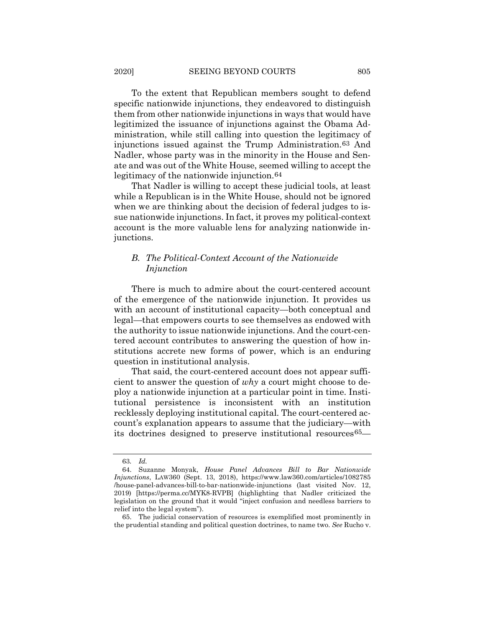To the extent that Republican members sought to defend specific nationwide injunctions, they endeavored to distinguish them from other nationwide injunctions in ways that would have legitimized the issuance of injunctions against the Obama Administration, while still calling into question the legitimacy of injunctions issued against the Trump Administration.[63](#page-16-0) And Nadler, whose party was in the minority in the House and Senate and was out of the White House, seemed willing to accept the legitimacy of the nationwide injunction.[64](#page-16-1)

That Nadler is willing to accept these judicial tools, at least while a Republican is in the White House, should not be ignored when we are thinking about the decision of federal judges to issue nationwide injunctions. In fact, it proves my political-context account is the more valuable lens for analyzing nationwide injunctions.

# *B. The Political-Context Account of the Nationwide Injunction*

There is much to admire about the court-centered account of the emergence of the nationwide injunction. It provides us with an account of institutional capacity—both conceptual and legal—that empowers courts to see themselves as endowed with the authority to issue nationwide injunctions. And the court-centered account contributes to answering the question of how institutions accrete new forms of power, which is an enduring question in institutional analysis.

That said, the court-centered account does not appear sufficient to answer the question of *why* a court might choose to deploy a nationwide injunction at a particular point in time. Institutional persistence is inconsistent with an institution recklessly deploying institutional capital. The court-centered account's explanation appears to assume that the judiciary—with its doctrines designed to preserve institutional resource[s65](#page-16-2)—

<sup>63</sup>*. Id.*

<span id="page-16-1"></span><span id="page-16-0"></span><sup>64.</sup> Suzanne Monyak, *House Panel Advances Bill to Bar Nationwide Injunctions*, LAW360 (Sept. 13, 2018), https://www.law360.com/articles/1082785 /house-panel-advances-bill-to-bar-nationwide-injunctions (last visited Nov. 12, 2019) [https://perma.cc/MYK8-RVPB] (highlighting that Nadler criticized the legislation on the ground that it would "inject confusion and needless barriers to relief into the legal system").

<span id="page-16-2"></span><sup>65.</sup> The judicial conservation of resources is exemplified most prominently in the prudential standing and political question doctrines, to name two. *See* Rucho v.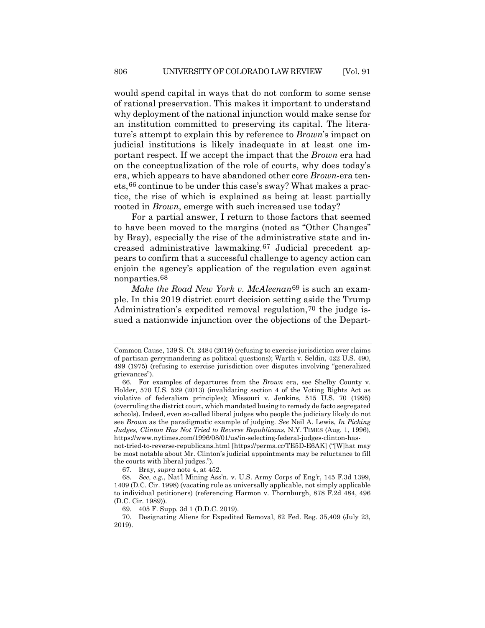would spend capital in ways that do not conform to some sense of rational preservation. This makes it important to understand why deployment of the national injunction would make sense for an institution committed to preserving its capital. The literature's attempt to explain this by reference to *Brown*'s impact on judicial institutions is likely inadequate in at least one important respect. If we accept the impact that the *Brown* era had on the conceptualization of the role of courts, why does today's era, which appears to have abandoned other core *Brown-*era tenets,[66](#page-17-0) continue to be under this case's sway? What makes a practice, the rise of which is explained as being at least partially rooted in *Brown*, emerge with such increased use today?

For a partial answer, I return to those factors that seemed to have been moved to the margins (noted as "Other Changes" by Bray), especially the rise of the administrative state and increased administrative lawmaking.[67](#page-17-1) Judicial precedent appears to confirm that a successful challenge to agency action can enjoin the agency's application of the regulation even against nonparties.[68](#page-17-2)

*Make the Road New York v. McAleenan*[69](#page-17-3) is such an example. In this 2019 district court decision setting aside the Trump Administration's expedited removal regulation,[70](#page-17-4) the judge issued a nationwide injunction over the objections of the Depart-

not-tried-to-reverse-republicans.html [https://perma.cc/TE5D-E6AK] ("[W]hat may be most notable about Mr. Clinton's judicial appointments may be reluctance to fill the courts with liberal judges.").

Common Cause, 139 S. Ct. 2484 (2019) (refusing to exercise jurisdiction over claims of partisan gerrymandering as political questions); Warth v. Seldin, 422 U.S. 490, 499 (1975) (refusing to exercise jurisdiction over disputes involving "generalized grievances").

<span id="page-17-0"></span><sup>66.</sup> For examples of departures from the *Brown* era, see Shelby County v. Holder, 570 U.S. 529 (2013) (invalidating section 4 of the Voting Rights Act as violative of federalism principles); Missouri v. Jenkins, 515 U.S. 70 (1995) (overruling the district court, which mandated busing to remedy de facto segregated schools). Indeed, even so-called liberal judges who people the judiciary likely do not see *Brown* as the paradigmatic example of judging. *See* Neil A. Lewis, *In Picking Judges, Clinton Has Not Tried to Reverse Republicans*, N.Y. TIMES (Aug. 1, 1996), https://www.nytimes.com/1996/08/01/us/in-selecting-federal-judges-clinton-has-

<sup>67.</sup> Bray, *supra* note [4,](#page-1-4) at 452.

<span id="page-17-2"></span><span id="page-17-1"></span><sup>68</sup>*. See, e.g.*, Nat*'*l Mining Ass'n. v. U.S. Army Corps of Eng*'*r, 145 F.3d 1399, 1409 (D.C. Cir. 1998) (vacating rule as universally applicable, not simply applicable to individual petitioners) (referencing Harmon v. Thornburgh, 878 F.2d 484, 496 (D.C. Cir. 1989)).

<sup>69.</sup> 405 F. Supp. 3d 1 (D.D.C. 2019).

<span id="page-17-4"></span><span id="page-17-3"></span><sup>70.</sup> Designating Aliens for Expedited Removal, 82 Fed. Reg. 35,409 (July 23, 2019).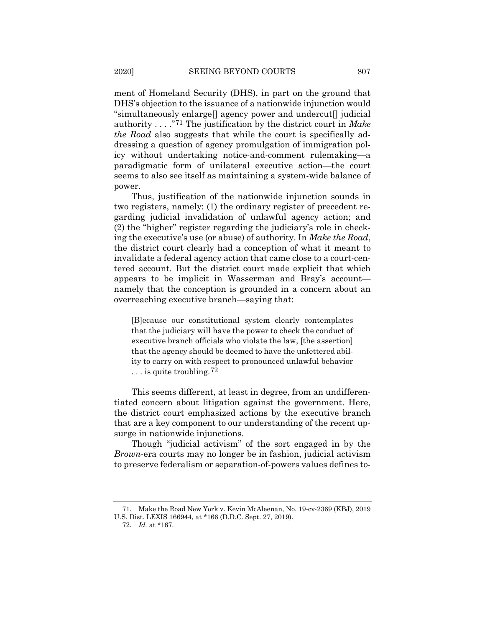ment of Homeland Security (DHS), in part on the ground that DHS's objection to the issuance of a nationwide injunction would "simultaneously enlarge[] agency power and undercut[] judicial authority . . . ."[71](#page-18-0) The justification by the district court in *Make the Road* also suggests that while the court is specifically addressing a question of agency promulgation of immigration policy without undertaking notice-and-comment rulemaking—a paradigmatic form of unilateral executive action—the court seems to also see itself as maintaining a system-wide balance of power.

Thus, justification of the nationwide injunction sounds in two registers, namely: (1) the ordinary register of precedent regarding judicial invalidation of unlawful agency action; and (2) the "higher" register regarding the judiciary's role in checking the executive's use (or abuse) of authority. In *Make the Road*, the district court clearly had a conception of what it meant to invalidate a federal agency action that came close to a court-centered account. But the district court made explicit that which appears to be implicit in Wasserman and Bray's account namely that the conception is grounded in a concern about an overreaching executive branch—saying that:

[B]ecause our constitutional system clearly contemplates that the judiciary will have the power to check the conduct of executive branch officials who violate the law, [the assertion] that the agency should be deemed to have the unfettered ability to carry on with respect to pronounced unlawful behavior ... is quite troubling.<sup>[72](#page-18-1)</sup>

This seems different, at least in degree, from an undifferentiated concern about litigation against the government. Here, the district court emphasized actions by the executive branch that are a key component to our understanding of the recent upsurge in nationwide injunctions.

Though "judicial activism" of the sort engaged in by the *Brown*-era courts may no longer be in fashion, judicial activism to preserve federalism or separation-of-powers values defines to-

<span id="page-18-1"></span><span id="page-18-0"></span><sup>71.</sup> Make the Road New York v. Kevin McAleenan, No. 19-cv-2369 (KBJ), 2019 U.S. Dist. LEXIS 166944, at \*166 (D.D.C. Sept. 27, 2019).

<sup>72</sup>*. Id.* at \*167.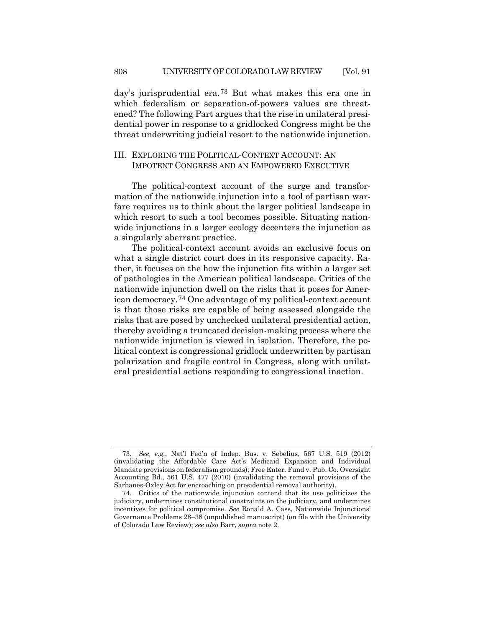day's jurisprudential era.[73](#page-19-0) But what makes this era one in which federalism or separation-of-powers values are threatened? The following Part argues that the rise in unilateral presidential power in response to a gridlocked Congress might be the threat underwriting judicial resort to the nationwide injunction.

# III. EXPLORING THE POLITICAL-CONTEXT ACCOUNT: AN IMPOTENT CONGRESS AND AN EMPOWERED EXECUTIVE

The political-context account of the surge and transformation of the nationwide injunction into a tool of partisan warfare requires us to think about the larger political landscape in which resort to such a tool becomes possible. Situating nationwide injunctions in a larger ecology decenters the injunction as a singularly aberrant practice.

The political-context account avoids an exclusive focus on what a single district court does in its responsive capacity. Rather, it focuses on the how the injunction fits within a larger set of pathologies in the American political landscape. Critics of the nationwide injunction dwell on the risks that it poses for American democracy.[74](#page-19-1) One advantage of my political-context account is that those risks are capable of being assessed alongside the risks that are posed by unchecked unilateral presidential action, thereby avoiding a truncated decision-making process where the nationwide injunction is viewed in isolation. Therefore, the political context is congressional gridlock underwritten by partisan polarization and fragile control in Congress, along with unilateral presidential actions responding to congressional inaction.

<span id="page-19-0"></span><sup>73</sup>*. See, e.g.*, Nat'l Fed'n of Indep. Bus. v. Sebelius, 567 U.S. 519 (2012) (invalidating the Affordable Care Act's Medicaid Expansion and Individual Mandate provisions on federalism grounds); Free Enter. Fund v. Pub. Co. Oversight Accounting Bd., 561 U.S. 477 (2010) (invalidating the removal provisions of the Sarbanes-Oxley Act for encroaching on presidential removal authority).

<span id="page-19-1"></span><sup>74.</sup> Critics of the nationwide injunction contend that its use politicizes the judiciary, undermines constitutional constraints on the judiciary, and undermines incentives for political compromise. *See* Ronald A. Cass, Nationwide Injunctions' Governance Problems 28–38 (unpublished manuscript) (on file with the University of Colorado Law Review); *see also* Barr, *supra* note [2.](#page-1-5)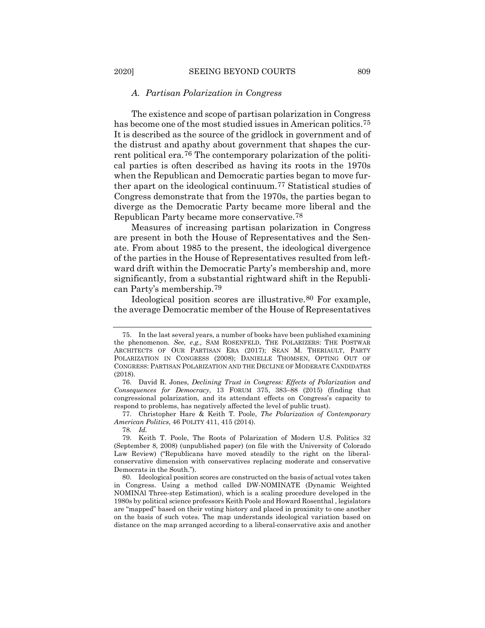### *A. Partisan Polarization in Congress*

The existence and scope of partisan polarization in Congress has become one of the most studied issues in American politics.<sup>75</sup> It is described as the source of the gridlock in government and of the distrust and apathy about government that shapes the current political era.[76](#page-20-1) The contemporary polarization of the political parties is often described as having its roots in the 1970s when the Republican and Democratic parties began to move further apart on the ideological continuum.[77](#page-20-2) Statistical studies of Congress demonstrate that from the 1970s, the parties began to diverge as the Democratic Party became more liberal and the Republican Party became more conservative.[78](#page-20-3)

<span id="page-20-6"></span>Measures of increasing partisan polarization in Congress are present in both the House of Representatives and the Senate. From about 1985 to the present, the ideological divergence of the parties in the House of Representatives resulted from leftward drift within the Democratic Party's membership and, more significantly, from a substantial rightward shift in the Republican Party's membership.[79](#page-20-4)

<span id="page-20-7"></span>Ideological position scores are illustrative.[80](#page-20-5) For example, the average Democratic member of the House of Representatives

<span id="page-20-2"></span>77. Christopher Hare & Keith T. Poole, *The Polarization of Contemporary American Politics*, 46 POLITY 411, 415 (2014).

78*. Id.*

<span id="page-20-0"></span><sup>75.</sup> In the last several years, a number of books have been published examining the phenomenon. *See, e.g.,* SAM ROSENFELD, THE POLARIZERS: THE POSTWAR ARCHITECTS OF OUR PARTISAN ERA (2017); SEAN M. THERIAULT, PARTY POLARIZATION IN CONGRESS (2008); DANIELLE THOMSEN, OPTING OUT OF CONGRESS: PARTISAN POLARIZATION AND THE DECLINE OF MODERATE CANDIDATES (2018).

<span id="page-20-1"></span><sup>76.</sup> David R. Jones, *Declining Trust in Congress: Effects of Polarization and Consequences for Democracy*, 13 FORUM 375, 383–88 (2015) (finding that congressional polarization, and its attendant effects on Congress's capacity to respond to problems, has negatively affected the level of public trust).

<span id="page-20-4"></span><span id="page-20-3"></span><sup>79.</sup> Keith T. Poole, The Roots of Polarization of Modern U.S. Politics 32 (September 8, 2008) (unpublished paper) (on file with the University of Colorado Law Review) ("Republicans have moved steadily to the right on the liberalconservative dimension with conservatives replacing moderate and conservative Democrats in the South.").

<span id="page-20-5"></span><sup>80.</sup> Ideological position scores are constructed on the basis of actual votes taken in Congress. Using a method called DW-NOMINATE (Dynamic Weighted NOMINAl Three-step Estimation), which is a scaling procedure developed in the 1980s by political science professors Keith Poole and Howard Rosenthal , legislators are "mapped" based on their voting history and placed in proximity to one another on the basis of such votes. The map understands ideological variation based on distance on the map arranged according to a liberal-conservative axis and another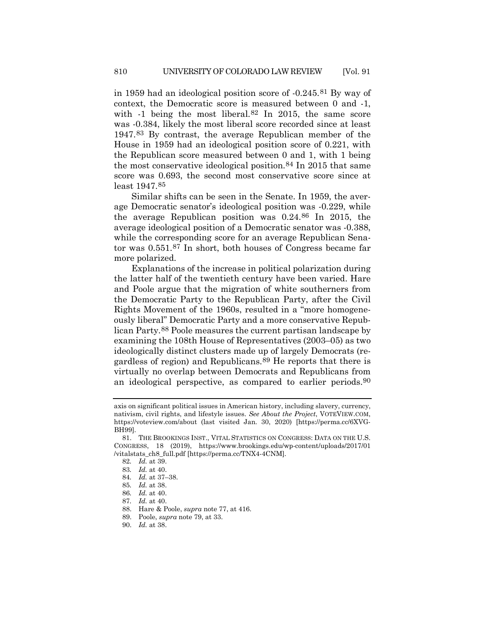in 1959 had an ideological position score of -0.245.[81](#page-21-0) By way of context, the Democratic score is measured between 0 and -1, with -1 being the most liberal.<sup>[82](#page-21-1)</sup> In 2015, the same score was -0.384, likely the most liberal score recorded since at least 1947.[83](#page-21-2) By contrast, the average Republican member of the House in 1959 had an ideological position score of 0.221, with the Republican score measured between 0 and 1, with 1 being the most conservative ideological position.[84](#page-21-3) In 2015 that same score was 0.693, the second most conservative score since at least 1947.[85](#page-21-4)

Similar shifts can be seen in the Senate. In 1959, the average Democratic senator's ideological position was -0.229, while the average Republican position was 0.24.[86](#page-21-5) In 2015, the average ideological position of a Democratic senator was -0.388, while the corresponding score for an average Republican Senator was 0.551.[87](#page-21-6) In short, both houses of Congress became far more polarized.

Explanations of the increase in political polarization during the latter half of the twentieth century have been varied. Hare and Poole argue that the migration of white southerners from the Democratic Party to the Republican Party, after the Civil Rights Movement of the 1960s, resulted in a "more homogeneously liberal" Democratic Party and a more conservative Republican Party.[88](#page-21-7) Poole measures the current partisan landscape by examining the 108th House of Representatives (2003–05) as two ideologically distinct clusters made up of largely Democrats (regardless of region) and Republicans[.89](#page-21-8) He reports that there is virtually no overlap between Democrats and Republicans from an ideological perspective, as compared to earlier periods[.90](#page-21-9)

axis on significant political issues in American history, including slavery, currency, nativism, civil rights, and lifestyle issues. *See About the Project*, VOTEVIEW.COM, https://voteview.com/about (last visited Jan. 30, 2020) [https://perma.cc/6XVG-BH99].

<span id="page-21-3"></span><span id="page-21-2"></span><span id="page-21-1"></span><span id="page-21-0"></span><sup>81.</sup> THE BROOKINGS INST., VITAL STATISTICS ON CONGRESS: DATA ON THE U.S. CONGRESS, 18 (2019), https://www.brookings.edu/wp-content/uploads/2017/01 /vitalstats\_ch8\_full.pdf [https://perma.cc/TNX4-4CNM].

<sup>82</sup>*. Id.* at 39.

<sup>83</sup>*. Id.* at 40.

<sup>84</sup>*. Id.* at 37–38.

<sup>85</sup>*. Id.* at 38.

<span id="page-21-6"></span><span id="page-21-5"></span><span id="page-21-4"></span><sup>86</sup>*. Id.* at 40.

<sup>87</sup>*. Id.* at 40.

<span id="page-21-7"></span><sup>88.</sup> Hare & Poole, *supra* not[e 77,](#page-20-6) at 416.

<span id="page-21-8"></span><sup>89.</sup> Poole, *supra* note [79,](#page-20-7) at 33.

<span id="page-21-9"></span><sup>90.</sup> *Id.* at 38.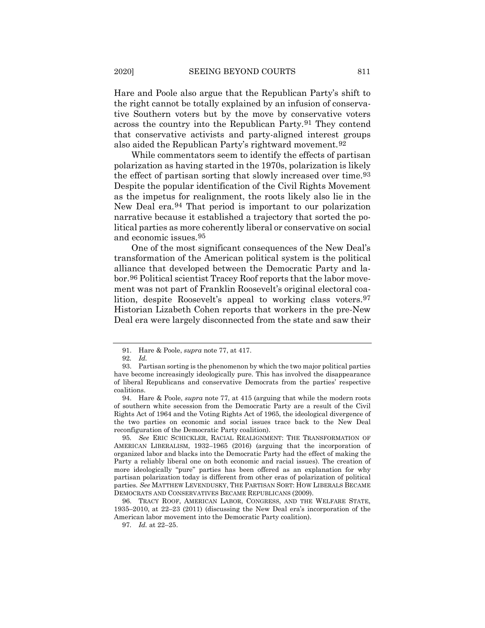Hare and Poole also argue that the Republican Party's shift to the right cannot be totally explained by an infusion of conservative Southern voters but by the move by conservative voters across the country into the Republican Party.[91](#page-22-0) They contend that conservative activists and party-aligned interest groups also aided the Republican Party's rightward movement.[92](#page-22-1)

While commentators seem to identify the effects of partisan polarization as having started in the 1970s, polarization is likely the effect of partisan sorting that slowly increased over time[.93](#page-22-2) Despite the popular identification of the Civil Rights Movement as the impetus for realignment, the roots likely also lie in the New Deal era.[94](#page-22-3) That period is important to our polarization narrative because it established a trajectory that sorted the political parties as more coherently liberal or conservative on social and economic issues.[95](#page-22-4)

<span id="page-22-7"></span>One of the most significant consequences of the New Deal's transformation of the American political system is the political alliance that developed between the Democratic Party and labor.[96](#page-22-5) Political scientist Tracey Roof reports that the labor movement was not part of Franklin Roosevelt's original electoral coalition, despite Roosevelt's appeal to working class voters[.97](#page-22-6) Historian Lizabeth Cohen reports that workers in the pre-New Deal era were largely disconnected from the state and saw their

<span id="page-22-6"></span><span id="page-22-5"></span>96. TRACY ROOF, AMERICAN LABOR, CONGRESS, AND THE WELFARE STATE, 1935–2010, at 22–23 (2011) (discussing the New Deal era's incorporation of the American labor movement into the Democratic Party coalition).

97*. Id.* at 22–25.

<sup>91.</sup> Hare & Poole, *supra* not[e 77,](#page-20-6) at 417.

<sup>92</sup>*. Id.*

<span id="page-22-2"></span><span id="page-22-1"></span><span id="page-22-0"></span><sup>93.</sup> Partisan sorting is the phenomenon by which the two major political parties have become increasingly ideologically pure. This has involved the disappearance of liberal Republicans and conservative Democrats from the parties' respective coalitions.

<span id="page-22-3"></span><sup>94.</sup> Hare & Poole, *supra* note [77,](#page-20-6) at 415 (arguing that while the modern roots of southern white secession from the Democratic Party are a result of the Civil Rights Act of 1964 and the Voting Rights Act of 1965, the ideological divergence of the two parties on economic and social issues trace back to the New Deal reconfiguration of the Democratic Party coalition).

<span id="page-22-4"></span><sup>95</sup>*. See* ERIC SCHICKLER, RACIAL REALIGNMENT: THE TRANSFORMATION OF AMERICAN LIBERALISM, 1932–1965 (2016) (arguing that the incorporation of organized labor and blacks into the Democratic Party had the effect of making the Party a reliably liberal one on both economic and racial issues). The creation of more ideologically "pure" parties has been offered as an explanation for why partisan polarization today is different from other eras of polarization of political parties. *See* MATTHEW LEVENDUSKY, THE PARTISAN SORT: HOW LIBERALS BECAME DEMOCRATS AND CONSERVATIVES BECAME REPUBLICANS (2009).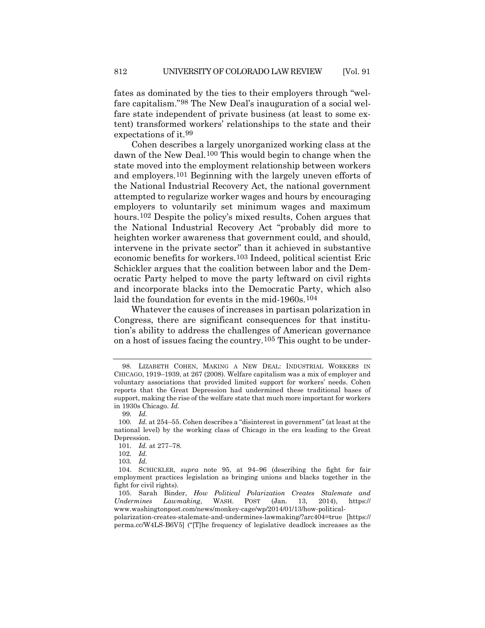fates as dominated by the ties to their employers through "welfare capitalism."[98](#page-23-0) The New Deal's inauguration of a social welfare state independent of private business (at least to some extent) transformed workers' relationships to the state and their expectations of it.[99](#page-23-1)

Cohen describes a largely unorganized working class at the dawn of the New Deal.<sup>[100](#page-23-2)</sup> This would begin to change when the state moved into the employment relationship between workers and employers.[101](#page-23-3) Beginning with the largely uneven efforts of the National Industrial Recovery Act, the national government attempted to regularize worker wages and hours by encouraging employers to voluntarily set minimum wages and maximum hours.<sup>[102](#page-23-4)</sup> Despite the policy's mixed results, Cohen argues that the National Industrial Recovery Act "probably did more to heighten worker awareness that government could, and should, intervene in the private sector" than it achieved in substantive economic benefits for workers.[103](#page-23-5) Indeed, political scientist Eric Schickler argues that the coalition between labor and the Democratic Party helped to move the party leftward on civil rights and incorporate blacks into the Democratic Party, which also laid the foundation for events in the mid-1960s.<sup>[104](#page-23-6)</sup>

Whatever the causes of increases in partisan polarization in Congress, there are significant consequences for that institution's ability to address the challenges of American governance on a host of issues facing the country.[105](#page-23-7) This ought to be under-

103*. Id.*

<span id="page-23-8"></span><span id="page-23-0"></span><sup>98.</sup> LIZABETH COHEN, MAKING A NEW DEAL: INDUSTRIAL WORKERS IN CHICAGO, 1919–1939, at 267 (2008). Welfare capitalism was a mix of employer and voluntary associations that provided limited support for workers' needs. Cohen reports that the Great Depression had undermined these traditional bases of support, making the rise of the welfare state that much more important for workers in 1930s Chicago. *Id.*

<sup>99</sup>*. Id.*

<span id="page-23-3"></span><span id="page-23-2"></span><span id="page-23-1"></span><sup>100</sup>*. Id.* at 254–55. Cohen describes a "disinterest in government" (at least at the national level) by the working class of Chicago in the era leading to the Great Depression.

<sup>101</sup>*. Id.* at 277–78.

<sup>102</sup>*. Id.*

<span id="page-23-6"></span><span id="page-23-5"></span><span id="page-23-4"></span><sup>104.</sup> SCHICKLER, *supra* note [95,](#page-22-7) at 94–96 (describing the fight for fair employment practices legislation as bringing unions and blacks together in the fight for civil rights).

<span id="page-23-7"></span><sup>105.</sup> Sarah Binder, *How Political Polarization Creates Stalemate and Undermines Lawmaking*, WASH. POST (Jan. 13, 2014), https:// www.washingtonpost.com/news/monkey-cage/wp/2014/01/13/how-political-

polarization-creates-stalemate-and-undermines-lawmaking/?arc404=true [https:// perma.cc/W4LS-B6V5] ("[T]he frequency of legislative deadlock increases as the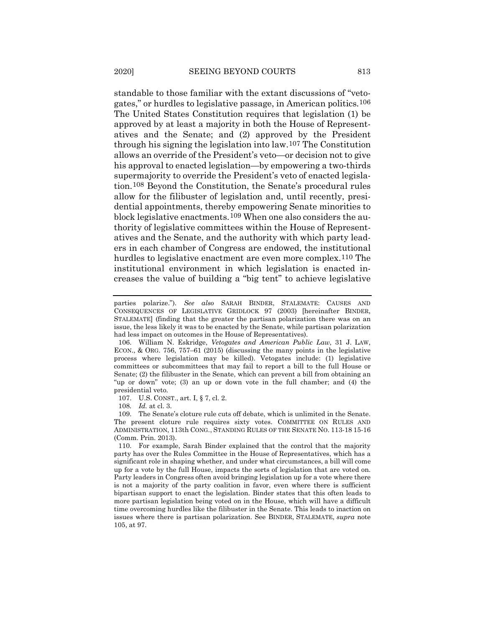standable to those familiar with the extant discussions of "vetogates," or hurdles to legislative passage, in American politics.[106](#page-24-0) The United States Constitution requires that legislation (1) be approved by at least a majority in both the House of Representatives and the Senate; and (2) approved by the President through his signing the legislation into law.[107](#page-24-1) The Constitution allows an override of the President's veto—or decision not to give his approval to enacted legislation—by empowering a two-thirds supermajority to override the President's veto of enacted legislation.[108](#page-24-2) Beyond the Constitution, the Senate's procedural rules allow for the filibuster of legislation and, until recently, presidential appointments, thereby empowering Senate minorities to block legislative enactments.[109](#page-24-3) When one also considers the authority of legislative committees within the House of Representatives and the Senate, and the authority with which party leaders in each chamber of Congress are endowed, the institutional hurdles to legislative enactment are even more complex.<sup>[110](#page-24-4)</sup> The institutional environment in which legislation is enacted increases the value of building a "big tent" to achieve legislative

108*. Id.* at cl. 3.

<span id="page-24-3"></span><span id="page-24-2"></span><span id="page-24-1"></span>109. The Senate's cloture rule cuts off debate, which is unlimited in the Senate. The present cloture rule requires sixty votes. COMMITTEE ON RULES AND ADMINISTRATION, 113th CONG., STANDING RULES OF THE SENATE NO. 113-18 15-16 (Comm. Prin. 2013).

<span id="page-24-4"></span>110. For example, Sarah Binder explained that the control that the majority party has over the Rules Committee in the House of Representatives, which has a significant role in shaping whether, and under what circumstances, a bill will come up for a vote by the full House, impacts the sorts of legislation that are voted on. Party leaders in Congress often avoid bringing legislation up for a vote where there is not a majority of the party coalition in favor, even where there is sufficient bipartisan support to enact the legislation. Binder states that this often leads to more partisan legislation being voted on in the House, which will have a difficult time overcoming hurdles like the filibuster in the Senate. This leads to inaction on issues where there is partisan polarization. See BINDER, STALEMATE, *supra* note [105,](#page-23-8) at 97.

parties polarize."). *See also* SARAH BINDER, STALEMATE: CAUSES AND CONSEQUENCES OF LEGISLATIVE GRIDLOCK 97 (2003) [hereinafter BINDER, STALEMATE] (finding that the greater the partisan polarization there was on an issue, the less likely it was to be enacted by the Senate, while partisan polarization had less impact on outcomes in the House of Representatives).

<span id="page-24-0"></span><sup>106.</sup> William N. Eskridge, *Vetogates and American Public Law*, 31 J. LAW, ECON., & ORG. 756, 757–61 (2015) (discussing the many points in the legislative process where legislation may be killed). Vetogates include: (1) legislative committees or subcommittees that may fail to report a bill to the full House or Senate; (2) the filibuster in the Senate, which can prevent a bill from obtaining an "up or down" vote; (3) an up or down vote in the full chamber; and (4) the presidential veto.

<sup>107.</sup> U.S. CONST., art. I, § 7, cl. 2.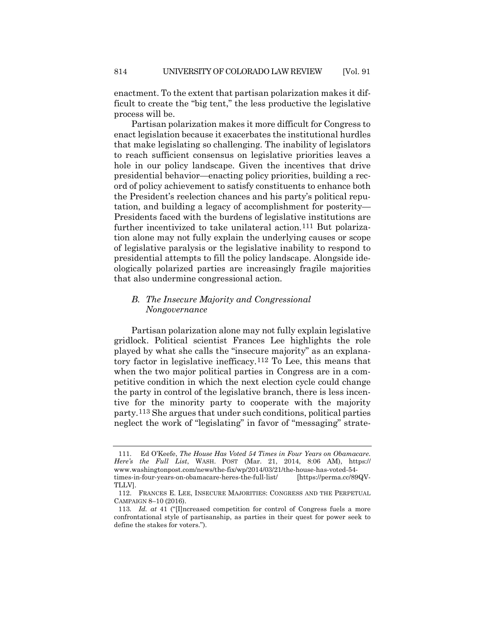enactment. To the extent that partisan polarization makes it difficult to create the "big tent," the less productive the legislative process will be.

Partisan polarization makes it more difficult for Congress to enact legislation because it exacerbates the institutional hurdles that make legislating so challenging. The inability of legislators to reach sufficient consensus on legislative priorities leaves a hole in our policy landscape. Given the incentives that drive presidential behavior—enacting policy priorities, building a record of policy achievement to satisfy constituents to enhance both the President's reelection chances and his party's political reputation, and building a legacy of accomplishment for posterity— Presidents faced with the burdens of legislative institutions are further incentivized to take unilateral action.<sup>[111](#page-25-0)</sup> But polarization alone may not fully explain the underlying causes or scope of legislative paralysis or the legislative inability to respond to presidential attempts to fill the policy landscape. Alongside ideologically polarized parties are increasingly fragile majorities that also undermine congressional action.

# <span id="page-25-3"></span>*B. The Insecure Majority and Congressional Nongovernance*

Partisan polarization alone may not fully explain legislative gridlock. Political scientist Frances Lee highlights the role played by what she calls the "insecure majority" as an explanatory factor in legislative inefficacy.[112](#page-25-1) To Lee, this means that when the two major political parties in Congress are in a competitive condition in which the next election cycle could change the party in control of the legislative branch, there is less incentive for the minority party to cooperate with the majority party.[113](#page-25-2) She argues that under such conditions, political parties neglect the work of "legislating" in favor of "messaging" strate-

<span id="page-25-0"></span><sup>111.</sup> Ed O'Keefe, *The House Has Voted 54 Times in Four Years on Obamacare. Here's the Full List*, WASH. POST (Mar. 21, 2014, 8:06 AM), https:// www.washingtonpost.com/news/the-fix/wp/2014/03/21/the-house-has-voted-54 times-in-four-years-on-obamacare-heres-the-full-list/ [https://perma.cc/89QV-TLLV].

<span id="page-25-1"></span><sup>112.</sup> FRANCES E. LEE, INSECURE MAJORITIES: CONGRESS AND THE PERPETUAL CAMPAIGN 8–10 (2016).

<span id="page-25-2"></span><sup>113</sup>*. Id. at* 41 ("[I]ncreased competition for control of Congress fuels a more confrontational style of partisanship, as parties in their quest for power seek to define the stakes for voters.").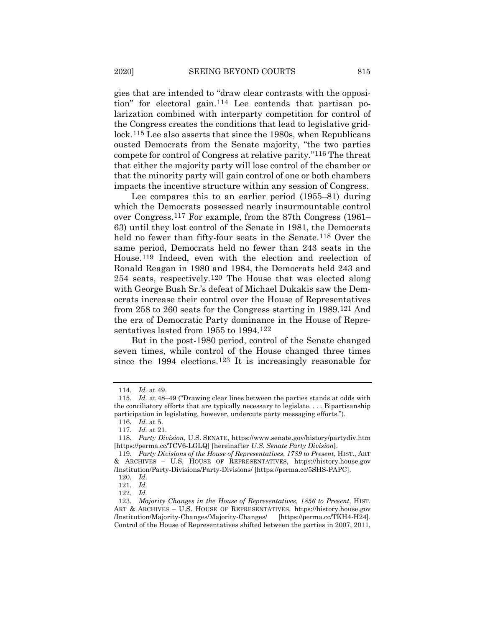gies that are intended to "draw clear contrasts with the opposition" for electoral gain.[114](#page-26-0) Lee contends that partisan polarization combined with interparty competition for control of the Congress creates the conditions that lead to legislative gridlock.[115](#page-26-1) Lee also asserts that since the 1980s, when Republicans ousted Democrats from the Senate majority, "the two parties compete for control of Congress at relative parity."[116](#page-26-2) The threat that either the majority party will lose control of the chamber or that the minority party will gain control of one or both chambers impacts the incentive structure within any session of Congress.

<span id="page-26-10"></span>Lee compares this to an earlier period (1955–81) during which the Democrats possessed nearly insurmountable control over Congress.[117](#page-26-3) For example, from the 87th Congress (1961– 63) until they lost control of the Senate in 1981, the Democrats held no fewer than fifty-four seats in the Senate.<sup>[118](#page-26-4)</sup> Over the same period, Democrats held no fewer than 243 seats in the House.[119](#page-26-5) Indeed, even with the election and reelection of Ronald Reagan in 1980 and 1984, the Democrats held 243 and 254 seats, respectively.[120](#page-26-6) The House that was elected along with George Bush Sr.'s defeat of Michael Dukakis saw the Democrats increase their control over the House of Representatives from 258 to 260 seats for the Congress starting in 1989[.121](#page-26-7) And the era of Democratic Party dominance in the House of Representatives lasted from 1955 to 1994.[122](#page-26-8)

But in the post-1980 period, control of the Senate changed seven times, while control of the House changed three times since the 1994 elections.<sup>[123](#page-26-9)</sup> It is increasingly reasonable for

<sup>114</sup>*. Id.* at 49.

<span id="page-26-1"></span><span id="page-26-0"></span><sup>115</sup>*. Id.* at 48–49 ("Drawing clear lines between the parties stands at odds with the conciliatory efforts that are typically necessary to legislate. . . . Bipartisanship participation in legislating, however, undercuts party messaging efforts.").

<sup>116</sup>*. Id.* at 5.

<sup>117</sup>*. Id.* at 21.

<span id="page-26-4"></span><span id="page-26-3"></span><span id="page-26-2"></span><sup>118</sup>*. Party Division*, U.S. SENATE, https://www.senate.gov/history/partydiv.htm [https://perma.cc/TCV6-LGLQ] [hereinafter *U.S. Senate Party Division*].

<span id="page-26-6"></span><span id="page-26-5"></span><sup>119</sup>*. Party Divisions of the House of Representatives*, *1789 to Present*, HIST., ART & ARCHIVES – U.S. HOUSE OF REPRESENTATIVES, https://history.house.gov /Institution/Party-Divisions/Party-Divisions/ [https://perma.cc/5SHS-PAPC].

<sup>120</sup>*. Id.*

<sup>121</sup>*. Id.*

<sup>122</sup>*. Id.*

<span id="page-26-9"></span><span id="page-26-8"></span><span id="page-26-7"></span><sup>123</sup>*. Majority Changes in the House of Representatives, 1856 to Present*, HIST. ART & ARCHIVES – U.S. HOUSE OF REPRESENTATIVES, https://history.house.gov /Institution/Majority-Changes/Majority-Changes/ [https://perma.cc/TKH4-H24]. Control of the House of Representatives shifted between the parties in 2007, 2011,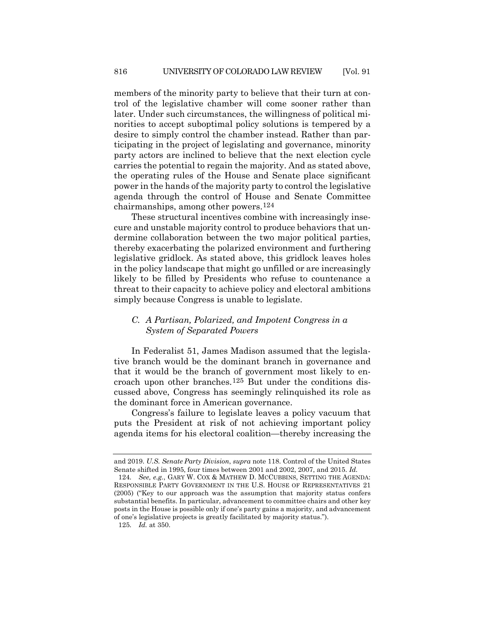members of the minority party to believe that their turn at control of the legislative chamber will come sooner rather than later. Under such circumstances, the willingness of political minorities to accept suboptimal policy solutions is tempered by a desire to simply control the chamber instead. Rather than participating in the project of legislating and governance, minority party actors are inclined to believe that the next election cycle carries the potential to regain the majority. And as stated above, the operating rules of the House and Senate place significant power in the hands of the majority party to control the legislative agenda through the control of House and Senate Committee chairmanships, among other powers.[124](#page-27-0)

These structural incentives combine with increasingly insecure and unstable majority control to produce behaviors that undermine collaboration between the two major political parties, thereby exacerbating the polarized environment and furthering legislative gridlock. As stated above, this gridlock leaves holes in the policy landscape that might go unfilled or are increasingly likely to be filled by Presidents who refuse to countenance a threat to their capacity to achieve policy and electoral ambitions simply because Congress is unable to legislate.

# *C. A Partisan, Polarized, and Impotent Congress in a System of Separated Powers*

In Federalist 51, James Madison assumed that the legislative branch would be the dominant branch in governance and that it would be the branch of government most likely to encroach upon other branches.[125](#page-27-1) But under the conditions discussed above, Congress has seemingly relinquished its role as the dominant force in American governance.

Congress's failure to legislate leaves a policy vacuum that puts the President at risk of not achieving important policy agenda items for his electoral coalition—thereby increasing the

and 2019. *U.S. Senate Party Division*, *supra* note [118.](#page-26-10) Control of the United States Senate shifted in 1995, four times between 2001 and 2002, 2007, and 2015. *Id.*

<span id="page-27-0"></span><sup>124</sup>*. See, e.g.*, GARY W. COX & MATHEW D. MCCUBBINS, SETTING THE AGENDA: RESPONSIBLE PARTY GOVERNMENT IN THE U.S. HOUSE OF REPRESENTATIVES 21 (2005) ("Key to our approach was the assumption that majority status confers substantial benefits. In particular, advancement to committee chairs and other key posts in the House is possible only if one's party gains a majority, and advancement of one's legislative projects is greatly facilitated by majority status.").

<span id="page-27-1"></span><sup>125</sup>*. Id.* at 350.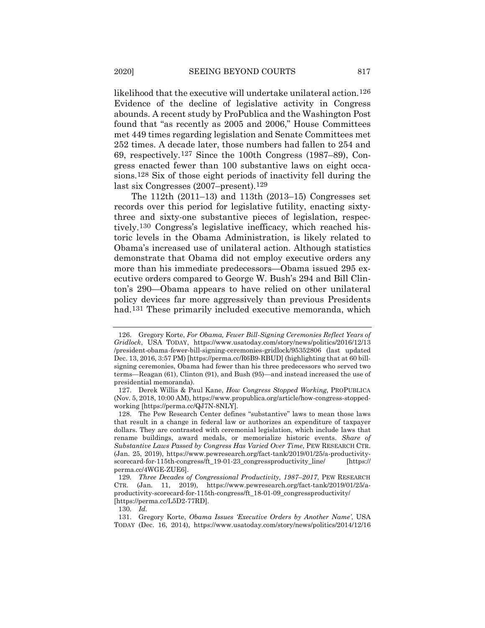likelihood that the executive will undertake unilateral action.<sup>[126](#page-28-0)</sup> Evidence of the decline of legislative activity in Congress abounds. A recent study by ProPublica and the Washington Post found that "as recently as 2005 and 2006," House Committees met 449 times regarding legislation and Senate Committees met 252 times. A decade later, those numbers had fallen to 254 and 69, respectively.[127](#page-28-1) Since the 100th Congress (1987–89), Congress enacted fewer than 100 substantive laws on eight occasions.[128](#page-28-2) Six of those eight periods of inactivity fell during the last six Congresses (2007–present).<sup>[129](#page-28-3)</sup>

The 112th (2011–13) and 113th (2013–15) Congresses set records over this period for legislative futility, enacting sixtythree and sixty-one substantive pieces of legislation, respectively.[130](#page-28-4) Congress's legislative inefficacy, which reached historic levels in the Obama Administration, is likely related to Obama's increased use of unilateral action. Although statistics demonstrate that Obama did not employ executive orders any more than his immediate predecessors—Obama issued 295 executive orders compared to George W. Bush's 294 and Bill Clinton's 290—Obama appears to have relied on other unilateral policy devices far more aggressively than previous Presidents had.[131](#page-28-5) These primarily included executive memoranda, which

<span id="page-28-0"></span><sup>126.</sup> Gregory Korte, *For Obama, Fewer Bill-Signing Ceremonies Reflect Years of Gridlock*, USA TODAY, https://www.usatoday.com/story/news/politics/2016/12/13 /president-obama-fewer-bill-signing-ceremonies-gridlock/95352806 (last updated Dec. 13, 2016, 3:57 PM) [https://perma.cc/R6B9-RBUD] (highlighting that at 60 billsigning ceremonies, Obama had fewer than his three predecessors who served two terms—Reagan (61), Clinton (91), and Bush (95)—and instead increased the use of presidential memoranda).

<span id="page-28-1"></span><sup>127.</sup> Derek Willis & Paul Kane, *How Congress Stopped Working*, PROPUBLICA (Nov. 5, 2018, 10:00 AM), https://www.propublica.org/article/how-congress-stoppedworking [https://perma.cc/QJ7N-8NLY].

<span id="page-28-2"></span><sup>128.</sup> The Pew Research Center defines "substantive" laws to mean those laws that result in a change in federal law or authorizes an expenditure of taxpayer dollars. They are contrasted with ceremonial legislation, which include laws that rename buildings, award medals, or memorialize historic events. *Share of Substantive Laws Passed by Congress Has Varied Over Time*, PEW RESEARCH CTR. (Jan. 25, 2019), https://www.pewresearch.org/fact-tank/2019/01/25/a-productivityscorecard-for-115th-congress/ft\_19-01-23\_congressproductivity\_line/ [https:// perma.cc/4WGE-ZUE6].

<span id="page-28-3"></span><sup>129</sup>*. Three Decades of Congressional Productivity, 1987*–*2017*, PEW RESEARCH CTR. (Jan. 11, 2019), https://www.pewresearch.org/fact-tank/2019/01/25/aproductivity-scorecard-for-115th-congress/ft\_18-01-09\_congressproductivity/ [https://perma.cc/L5D2-77RD].

<sup>130</sup>*. Id.*

<span id="page-28-5"></span><span id="page-28-4"></span><sup>131.</sup> Gregory Korte, *Obama Issues 'Executive Orders by Another Name'*, USA TODAY (Dec. 16, 2014), https://www.usatoday.com/story/news/politics/2014/12/16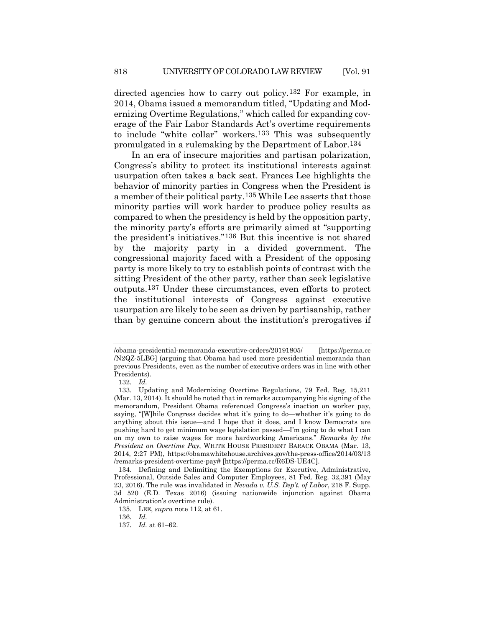directed agencies how to carry out policy.[132](#page-29-0) For example, in 2014, Obama issued a memorandum titled, "Updating and Modernizing Overtime Regulations," which called for expanding coverage of the Fair Labor Standards Act's overtime requirements to include "white collar" workers.[133](#page-29-1) This was subsequently promulgated in a rulemaking by the Department of Labor.[134](#page-29-2)

In an era of insecure majorities and partisan polarization, Congress's ability to protect its institutional interests against usurpation often takes a back seat. Frances Lee highlights the behavior of minority parties in Congress when the President is a member of their political party.[135](#page-29-3) While Lee asserts that those minority parties will work harder to produce policy results as compared to when the presidency is held by the opposition party, the minority party's efforts are primarily aimed at "supporting the president's initiatives."[136](#page-29-4) But this incentive is not shared by the majority party in a divided government. The congressional majority faced with a President of the opposing party is more likely to try to establish points of contrast with the sitting President of the other party, rather than seek legislative outputs[.137](#page-29-5) Under these circumstances, even efforts to protect the institutional interests of Congress against executive usurpation are likely to be seen as driven by partisanship, rather than by genuine concern about the institution's prerogatives if

<span id="page-29-4"></span><span id="page-29-3"></span>135. LEE, *supra* not[e 112,](#page-25-3) at 61.

<sup>/</sup>obama-presidential-memoranda-executive-orders/20191805/ [https://perma.cc /N2QZ-5LBG] (arguing that Obama had used more presidential memoranda than previous Presidents, even as the number of executive orders was in line with other Presidents).

<sup>132</sup>*. Id.*

<span id="page-29-1"></span><span id="page-29-0"></span><sup>133.</sup> Updating and Modernizing Overtime Regulations, 79 Fed. Reg. 15,211 (Mar. 13, 2014). It should be noted that in remarks accompanying his signing of the memorandum, President Obama referenced Congress's inaction on worker pay, saying, "[W]hile Congress decides what it's going to do—whether it's going to do anything about this issue—and I hope that it does, and I know Democrats are pushing hard to get minimum wage legislation passed—I'm going to do what I can on my own to raise wages for more hardworking Americans." *Remarks by the President on Overtime Pay*, WHITE HOUSE PRESIDENT BARACK OBAMA (Mar. 13, 2014, 2:27 PM), https://obamawhitehouse.archives.gov/the-press-office/2014/03/13 /remarks-president-overtime-pay# [https://perma.cc/R6DS-UE4C].

<span id="page-29-2"></span><sup>134.</sup> Defining and Delimiting the Exemptions for Executive, Administrative, Professional, Outside Sales and Computer Employees, 81 Fed. Reg. 32,391 (May 23, 2016). The rule was invalidated in *Nevada v. U.S. Dep't. of Labor*, 218 F. Supp. 3d 520 (E.D. Texas 2016) (issuing nationwide injunction against Obama Administration's overtime rule).

<sup>136</sup>*. Id.*

<span id="page-29-5"></span><sup>137</sup>*. Id.* at 61–62.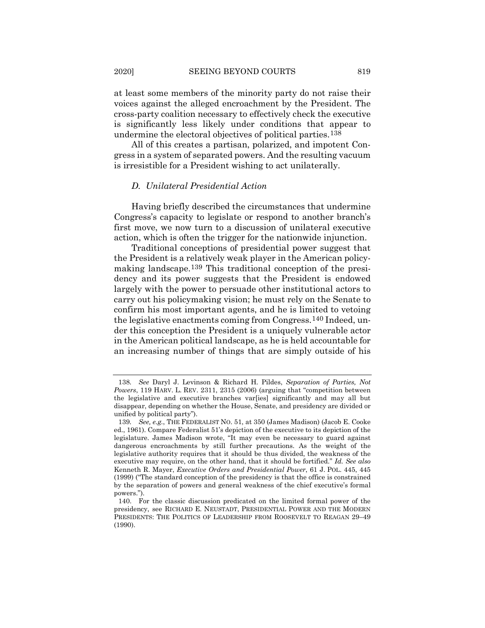at least some members of the minority party do not raise their voices against the alleged encroachment by the President. The cross-party coalition necessary to effectively check the executive is significantly less likely under conditions that appear to undermine the electoral objectives of political parties.[138](#page-30-0)

All of this creates a partisan, polarized, and impotent Congress in a system of separated powers. And the resulting vacuum is irresistible for a President wishing to act unilaterally.

### *D. Unilateral Presidential Action*

Having briefly described the circumstances that undermine Congress's capacity to legislate or respond to another branch's first move, we now turn to a discussion of unilateral executive action, which is often the trigger for the nationwide injunction.

Traditional conceptions of presidential power suggest that the President is a relatively weak player in the American policymaking landscape.[139](#page-30-1) This traditional conception of the presidency and its power suggests that the President is endowed largely with the power to persuade other institutional actors to carry out his policymaking vision; he must rely on the Senate to confirm his most important agents, and he is limited to vetoing the legislative enactments coming from Congress.[140](#page-30-2) Indeed, under this conception the President is a uniquely vulnerable actor in the American political landscape, as he is held accountable for an increasing number of things that are simply outside of his

<span id="page-30-3"></span><span id="page-30-0"></span><sup>138</sup>*. See* Daryl J. Levinson & Richard H. Pildes, *Separation of Parties, Not Powers*, 119 HARV. L. REV. 2311, 2315 (2006) (arguing that "competition between the legislative and executive branches varies significantly and may all but disappear, depending on whether the House, Senate, and presidency are divided or unified by political party").

<span id="page-30-1"></span><sup>139</sup>*. See, e.g.*, THE FEDERALIST NO. 51, at 350 (James Madison) (Jacob E. Cooke ed., 1961). Compare Federalist 51's depiction of the executive to its depiction of the legislature. James Madison wrote, "It may even be necessary to guard against dangerous encroachments by still further precautions. As the weight of the legislative authority requires that it should be thus divided, the weakness of the executive may require, on the other hand, that it should be fortified." *Id. See also* Kenneth R. Mayer, *Executive Orders and Presidential Power*, 61 J. POL. 445, 445 (1999) ("The standard conception of the presidency is that the office is constrained by the separation of powers and general weakness of the chief executive's formal powers.").

<span id="page-30-2"></span><sup>140.</sup> For the classic discussion predicated on the limited formal power of the presidency, see RICHARD E. NEUSTADT, PRESIDENTIAL POWER AND THE MODERN PRESIDENTS: THE POLITICS OF LEADERSHIP FROM ROOSEVELT TO REAGAN 29–49 (1990).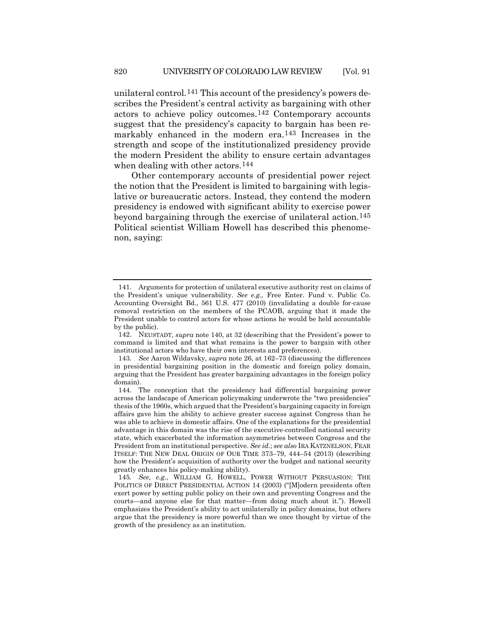unilateral control.[141](#page-31-0) This account of the presidency's powers describes the President's central activity as bargaining with other actors to achieve policy outcomes.[142](#page-31-1) Contemporary accounts suggest that the presidency's capacity to bargain has been remarkably enhanced in the modern era.[143](#page-31-2) Increases in the strength and scope of the institutionalized presidency provide the modern President the ability to ensure certain advantages when dealing with other actors.<sup>144</sup>

Other contemporary accounts of presidential power reject the notion that the President is limited to bargaining with legislative or bureaucratic actors. Instead, they contend the modern presidency is endowed with significant ability to exercise power beyond bargaining through the exercise of unilateral action.[145](#page-31-4) Political scientist William Howell has described this phenomenon, saying:

<span id="page-31-0"></span><sup>141.</sup> Arguments for protection of unilateral executive authority rest on claims of the President's unique vulnerability. *See e.g.*, Free Enter. Fund v. Public Co. Accounting Oversight Bd., 561 U.S. 477 (2010) (invalidating a double for-cause removal restriction on the members of the PCAOB, arguing that it made the President unable to control actors for whose actions he would be held accountable by the public).

<span id="page-31-1"></span><sup>142.</sup> NEUSTADT, *supra* note [140,](#page-30-3) at 32 (describing that the President's power to command is limited and that what remains is the power to bargain with other institutional actors who have their own interests and preferences).

<span id="page-31-2"></span><sup>143</sup>*. See* Aaron Wildavsky, *supra* note [26,](#page-8-5) at 162–73 (discussing the differences in presidential bargaining position in the domestic and foreign policy domain, arguing that the President has greater bargaining advantages in the foreign policy domain).

<span id="page-31-3"></span><sup>144.</sup> The conception that the presidency had differential bargaining power across the landscape of American policymaking underwrote the "two presidencies" thesis of the 1960s, which argued that the President's bargaining capacity in foreign affairs gave him the ability to achieve greater success against Congress than he was able to achieve in domestic affairs. One of the explanations for the presidential advantage in this domain was the rise of the executive-controlled national security state, which exacerbated the information asymmetries between Congress and the President from an institutional perspective. *See id.*; *see also* IRA KATZNELSON, FEAR ITSELF: THE NEW DEAL ORIGIN OF OUR TIME 373–79, 444–54 (2013) (describing how the President's acquisition of authority over the budget and national security greatly enhances his policy-making ability).

<span id="page-31-4"></span><sup>145</sup>*. See, e.g.*, WILLIAM G. HOWELL, POWER WITHOUT PERSUASION: THE POLITICS OF DIRECT PRESIDENTIAL ACTION 14 (2003) ("[M]odern presidents often exert power by setting public policy on their own and preventing Congress and the courts—and anyone else for that matter—from doing much about it."). Howell emphasizes the President's ability to act unilaterally in policy domains, but others argue that the presidency is more powerful than we once thought by virtue of the growth of the presidency as an institution.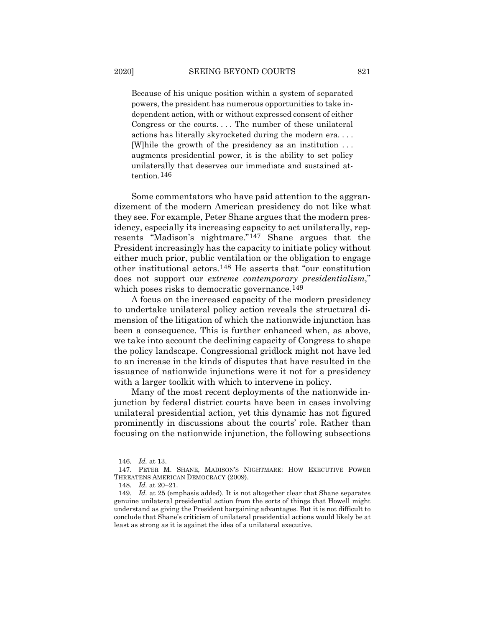Because of his unique position within a system of separated powers, the president has numerous opportunities to take independent action, with or without expressed consent of either Congress or the courts. . . . The number of these unilateral actions has literally skyrocketed during the modern era. . . . [W]hile the growth of the presidency as an institution . . . augments presidential power, it is the ability to set policy unilaterally that deserves our immediate and sustained attention.[146](#page-32-0)

Some commentators who have paid attention to the aggrandizement of the modern American presidency do not like what they see. For example, Peter Shane argues that the modern presidency, especially its increasing capacity to act unilaterally, represents "Madison's nightmare."[147](#page-32-1) Shane argues that the President increasingly has the capacity to initiate policy without either much prior, public ventilation or the obligation to engage other institutional actors.[148](#page-32-2) He asserts that "our constitution does not support our *extreme contemporary presidentialism*," which poses risks to democratic governance.<sup>[149](#page-32-3)</sup>

A focus on the increased capacity of the modern presidency to undertake unilateral policy action reveals the structural dimension of the litigation of which the nationwide injunction has been a consequence. This is further enhanced when, as above, we take into account the declining capacity of Congress to shape the policy landscape. Congressional gridlock might not have led to an increase in the kinds of disputes that have resulted in the issuance of nationwide injunctions were it not for a presidency with a larger toolkit with which to intervene in policy.

Many of the most recent deployments of the nationwide injunction by federal district courts have been in cases involving unilateral presidential action, yet this dynamic has not figured prominently in discussions about the courts' role. Rather than focusing on the nationwide injunction, the following subsections

<sup>146</sup>*. Id.* at 13.

<span id="page-32-1"></span><span id="page-32-0"></span><sup>147.</sup> PETER M. SHANE, MADISON'S NIGHTMARE: HOW EXECUTIVE POWER THREATENS AMERICAN DEMOCRACY (2009).

<sup>148</sup>*. Id.* at 20–21.

<span id="page-32-3"></span><span id="page-32-2"></span><sup>149</sup>*. Id.* at 25 (emphasis added). It is not altogether clear that Shane separates genuine unilateral presidential action from the sorts of things that Howell might understand as giving the President bargaining advantages. But it is not difficult to conclude that Shane's criticism of unilateral presidential actions would likely be at least as strong as it is against the idea of a unilateral executive.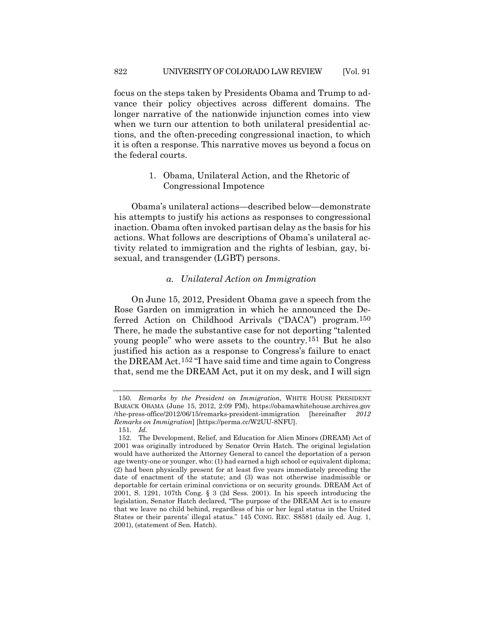focus on the steps taken by Presidents Obama and Trump to advance their policy objectives across different domains. The longer narrative of the nationwide injunction comes into view when we turn our attention to both unilateral presidential actions, and the often-preceding congressional inaction, to which it is often a response. This narrative moves us beyond a focus on the federal courts.

> 1. Obama, Unilateral Action, and the Rhetoric of Congressional Impotence

Obama's unilateral actions—described below—demonstrate his attempts to justify his actions as responses to congressional inaction. Obama often invoked partisan delay as the basis for his actions. What follows are descriptions of Obama's unilateral activity related to immigration and the rights of lesbian, gay, bisexual, and transgender (LGBT) persons.

### <span id="page-33-3"></span>*a. Unilateral Action on Immigration*

On June 15, 2012, President Obama gave a speech from the Rose Garden on immigration in which he announced the Deferred Action on Childhood Arrivals ("DACA") program.[150](#page-33-0) There, he made the substantive case for not deporting "talented young people" who were assets to the country.[151](#page-33-1) But he also justified his action as a response to Congress's failure to enact the DREAM Act.[152](#page-33-2) "I have said time and time again to Congress that, send me the DREAM Act, put it on my desk, and I will sign

<span id="page-33-0"></span><sup>150</sup>*. Remarks by the President on Immigration*, WHITE HOUSE PRESIDENT BARACK OBAMA (June 15, 2012, 2:09 PM), https://obamawhitehouse.archives.gov /the-press-office/2012/06/15/remarks-president-immigration [hereinafter *2012 Remarks on Immigration*] [https://perma.cc/W2UU-8NFU].

<sup>151</sup>*. Id.*

<span id="page-33-2"></span><span id="page-33-1"></span><sup>152.</sup> The Development, Relief, and Education for Alien Minors (DREAM) Act of 2001 was originally introduced by Senator Orrin Hatch. The original legislation would have authorized the Attorney General to cancel the deportation of a person age twenty-one or younger, who: (1) had earned a high school or equivalent diploma; (2) had been physically present for at least five years immediately preceding the date of enactment of the statute; and (3) was not otherwise inadmissible or deportable for certain criminal convictions or on security grounds. DREAM Act of 2001, S. 1291, 107th Cong. § 3 (2d Sess. 2001). In his speech introducing the legislation, Senator Hatch declared, "The purpose of the DREAM Act is to ensure that we leave no child behind, regardless of his or her legal status in the United States or their parents' illegal status." 145 CONG. REC. S8581 (daily ed. Aug. 1, 2001), (statement of Sen. Hatch).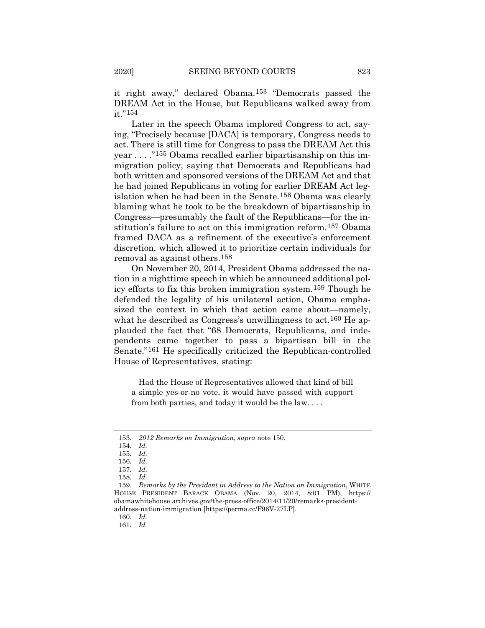it right away," declared Obama.[153](#page-34-0) "Democrats passed the DREAM Act in the House, but Republicans walked away from it."[154](#page-34-1)

Later in the speech Obama implored Congress to act, saying, "Precisely because [DACA] is temporary, Congress needs to act. There is still time for Congress to pass the DREAM Act this year . . . ."[155](#page-34-2) Obama recalled earlier bipartisanship on this immigration policy, saying that Democrats and Republicans had both written and sponsored versions of the DREAM Act and that he had joined Republicans in voting for earlier DREAM Act legislation when he had been in the Senate.[156](#page-34-3) Obama was clearly blaming what he took to be the breakdown of bipartisanship in Congress—presumably the fault of the Republicans—for the institution's failure to act on this immigration reform.[157](#page-34-4) Obama framed DACA as a refinement of the executive's enforcement discretion, which allowed it to prioritize certain individuals for removal as against others.[158](#page-34-5)

On November 20, 2014, President Obama addressed the nation in a nighttime speech in which he announced additional policy efforts to fix this broken immigration system.[159](#page-34-6) Though he defended the legality of his unilateral action, Obama emphasized the context in which that action came about—namely, what he described as Congress's unwillingness to act.<sup>[160](#page-34-7)</sup> He applauded the fact that "68 Democrats, Republicans, and independents came together to pass a bipartisan bill in the Senate."[161](#page-34-8) He specifically criticized the Republican-controlled House of Representatives, stating:

Had the House of Representatives allowed that kind of bill a simple yes-or-no vote, it would have passed with support from both parties, and today it would be the law. . . .

160*. Id.*

<span id="page-34-1"></span><span id="page-34-0"></span><sup>153</sup>*. 2012 Remarks on Immigration*, *supra* note [150.](#page-33-3)

<sup>154</sup>*. Id.*

<sup>155</sup>*. Id.*

<sup>156</sup>*. Id.*

<sup>157</sup>*. Id.*

<sup>158</sup>*. Id.*

<span id="page-34-7"></span><span id="page-34-6"></span><span id="page-34-5"></span><span id="page-34-4"></span><span id="page-34-3"></span><span id="page-34-2"></span><sup>159</sup>*. Remarks by the President in Address to the Nation on Immigration*, WHITE HOUSE PRESIDENT BARACK OBAMA (Nov. 20, 2014, 8:01 PM), https:// obamawhitehouse.archives.gov/the-press-office/2014/11/20/remarks-presidentaddress-nation-immigration [https://perma.cc/F96V-27LP].

<span id="page-34-8"></span><sup>161</sup>*. Id.*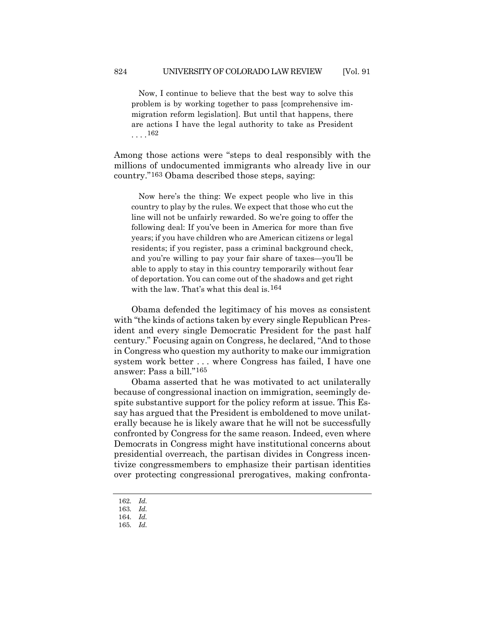Now, I continue to believe that the best way to solve this problem is by working together to pass [comprehensive immigration reform legislation]. But until that happens, there are actions I have the legal authority to take as President  $\ldots$ . [162](#page-35-0)

Among those actions were "steps to deal responsibly with the millions of undocumented immigrants who already live in our country."[163](#page-35-1) Obama described those steps, saying:

Now here's the thing: We expect people who live in this country to play by the rules. We expect that those who cut the line will not be unfairly rewarded. So we're going to offer the following deal: If you've been in America for more than five years; if you have children who are American citizens or legal residents; if you register, pass a criminal background check, and you're willing to pay your fair share of taxes—you'll be able to apply to stay in this country temporarily without fear of deportation. You can come out of the shadows and get right with the law. That's what this deal is  $164$ 

Obama defended the legitimacy of his moves as consistent with "the kinds of actions taken by every single Republican President and every single Democratic President for the past half century." Focusing again on Congress, he declared, "And to those in Congress who question my authority to make our immigration system work better . . . where Congress has failed, I have one answer: Pass a bill."[165](#page-35-3)

Obama asserted that he was motivated to act unilaterally because of congressional inaction on immigration, seemingly despite substantive support for the policy reform at issue. This Essay has argued that the President is emboldened to move unilaterally because he is likely aware that he will not be successfully confronted by Congress for the same reason. Indeed, even where Democrats in Congress might have institutional concerns about presidential overreach, the partisan divides in Congress incentivize congressmembers to emphasize their partisan identities over protecting congressional prerogatives, making confronta-

- <span id="page-35-0"></span>162*. Id.*
- 163*. Id.*
- <span id="page-35-2"></span><span id="page-35-1"></span>164*. Id.*
- <span id="page-35-3"></span>165*. Id.*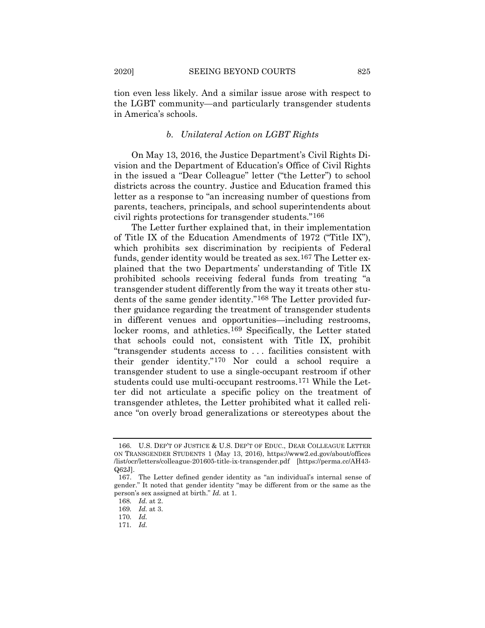tion even less likely. And a similar issue arose with respect to the LGBT community—and particularly transgender students in America's schools.

#### *b. Unilateral Action on LGBT Rights*

On May 13, 2016, the Justice Department's Civil Rights Division and the Department of Education's Office of Civil Rights in the issued a "Dear Colleague" letter ("the Letter") to school districts across the country. Justice and Education framed this letter as a response to "an increasing number of questions from parents, teachers, principals, and school superintendents about civil rights protections for transgender students."[166](#page-36-0)

The Letter further explained that, in their implementation of Title IX of the Education Amendments of 1972 ("Title IX"), which prohibits sex discrimination by recipients of Federal funds, gender identity would be treated as sex.[167](#page-36-1) The Letter explained that the two Departments' understanding of Title IX prohibited schools receiving federal funds from treating "a transgender student differently from the way it treats other students of the same gender identity."[168](#page-36-2) The Letter provided further guidance regarding the treatment of transgender students in different venues and opportunities—including restrooms, locker rooms, and athletics.<sup>[169](#page-36-3)</sup> Specifically, the Letter stated that schools could not, consistent with Title IX, prohibit "transgender students access to . . . facilities consistent with their gender identity."[170](#page-36-4) Nor could a school require a transgender student to use a single-occupant restroom if other students could use multi-occupant restrooms.[171](#page-36-5) While the Letter did not articulate a specific policy on the treatment of transgender athletes, the Letter prohibited what it called reliance "on overly broad generalizations or stereotypes about the

<span id="page-36-0"></span><sup>166.</sup> U.S. DEP'T OF JUSTICE & U.S. DEP'T OF EDUC., DEAR COLLEAGUE LETTER ON TRANSGENDER STUDENTS 1 (May 13, 2016), https://www2.ed.gov/about/offices /list/ocr/letters/colleague-201605-title-ix-transgender.pdf [https://perma.cc/AH43- Q62J].

<span id="page-36-2"></span><span id="page-36-1"></span><sup>167.</sup> The Letter defined gender identity as "an individual's internal sense of gender." It noted that gender identity "may be different from or the same as the person's sex assigned at birth." *Id.* at 1.

<sup>168</sup>*. Id.* at 2.

<span id="page-36-3"></span><sup>169</sup>*. Id.* at 3.

<span id="page-36-5"></span><span id="page-36-4"></span><sup>170</sup>*. Id.*

<sup>171</sup>*. Id.*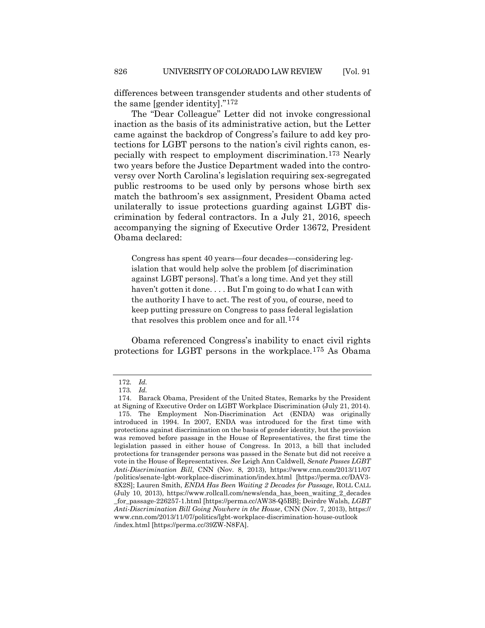differences between transgender students and other students of the same [gender identity]."[172](#page-37-0)

The "Dear Colleague" Letter did not invoke congressional inaction as the basis of its administrative action, but the Letter came against the backdrop of Congress's failure to add key protections for LGBT persons to the nation's civil rights canon, especially with respect to employment discrimination.[173](#page-37-1) Nearly two years before the Justice Department waded into the controversy over North Carolina's legislation requiring sex-segregated public restrooms to be used only by persons whose birth sex match the bathroom's sex assignment, President Obama acted unilaterally to issue protections guarding against LGBT discrimination by federal contractors. In a July 21, 2016, speech accompanying the signing of Executive Order 13672, President Obama declared:

Congress has spent 40 years—four decades—considering legislation that would help solve the problem [of discrimination against LGBT persons]. That's a long time. And yet they still haven't gotten it done. . . . But I'm going to do what I can with the authority I have to act. The rest of you, of course, need to keep putting pressure on Congress to pass federal legislation that resolves this problem once and for all.[174](#page-37-2)

Obama referenced Congress's inability to enact civil rights protections for LGBT persons in the workplace.[175](#page-37-3) As Obama

<span id="page-37-4"></span><sup>172</sup>*. Id.*

<sup>173</sup>*. Id.*

<span id="page-37-3"></span><span id="page-37-2"></span><span id="page-37-1"></span><span id="page-37-0"></span><sup>174.</sup> Barack Obama, President of the United States, Remarks by the President at Signing of Executive Order on LGBT Workplace Discrimination (July 21, 2014). 175. The Employment Non-Discrimination Act (ENDA) was originally introduced in 1994. In 2007, ENDA was introduced for the first time with protections against discrimination on the basis of gender identity, but the provision was removed before passage in the House of Representatives, the first time the legislation passed in either house of Congress. In 2013, a bill that included protections for transgender persons was passed in the Senate but did not receive a vote in the House of Representatives. *See* Leigh Ann Caldwell, *Senate Passes LGBT Anti-Discrimination Bill*, CNN (Nov. 8, 2013), https://www.cnn.com/2013/11/07 /politics/senate-lgbt-workplace-discrimination/index.html [https://perma.cc/DAV3- 8X2S]; Lauren Smith, *ENDA Has Been Waiting 2 Decades for Passage*, ROLL CALL (July 10, 2013), https://www.rollcall.com/news/enda\_has\_been\_waiting\_2\_decades \_for\_passage-226257-1.html [https://perma.cc/AW38-Q5BB]; Deirdre Walsh, *LGBT Anti-Discrimination Bill Going Nowhere in the House*, CNN (Nov. 7, 2013)[, https://](https://www.cnn.com/2013/11/07/politics/lgbt-workplace-discrimination-house-outlook/index.html) [www.cnn.com/2013/11/07/politics/lgbt-workplace-discrimination-house-outlook](https://www.cnn.com/2013/11/07/politics/lgbt-workplace-discrimination-house-outlook/index.html) [/index.html](https://www.cnn.com/2013/11/07/politics/lgbt-workplace-discrimination-house-outlook/index.html) [https://perma.cc/39ZW-N8FA].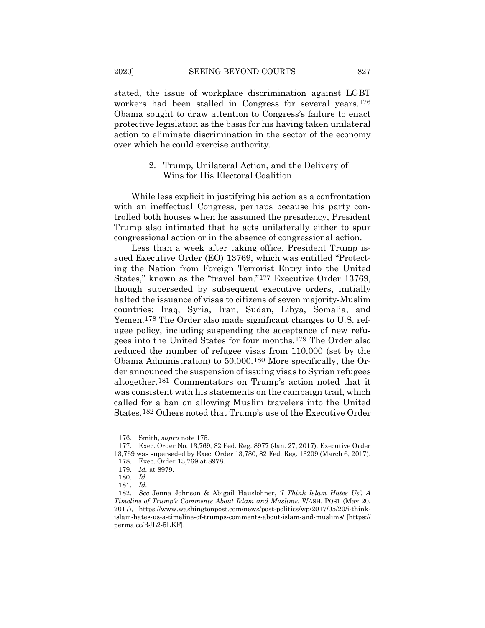stated, the issue of workplace discrimination against LGBT workers had been stalled in Congress for several years.[176](#page-38-0) Obama sought to draw attention to Congress's failure to enact protective legislation as the basis for his having taken unilateral action to eliminate discrimination in the sector of the economy over which he could exercise authority.

# 2. Trump, Unilateral Action, and the Delivery of Wins for His Electoral Coalition

While less explicit in justifying his action as a confrontation with an ineffectual Congress, perhaps because his party controlled both houses when he assumed the presidency, President Trump also intimated that he acts unilaterally either to spur congressional action or in the absence of congressional action.

Less than a week after taking office, President Trump issued Executive Order (EO) 13769, which was entitled "Protecting the Nation from Foreign Terrorist Entry into the United States," known as the "travel ban."[177](#page-38-1) Executive Order 13769, though superseded by subsequent executive orders, initially halted the issuance of visas to citizens of seven majority-Muslim countries: Iraq, Syria, Iran, Sudan, Libya, Somalia, and Yemen.[178](#page-38-2) The Order also made significant changes to U.S. refugee policy, including suspending the acceptance of new refugees into the United States for four months.[179](#page-38-3) The Order also reduced the number of refugee visas from 110,000 (set by the Obama Administration) to 50,000.[180](#page-38-4) More specifically, the Order announced the suspension of issuing visas to Syrian refugees altogether.[181](#page-38-5) Commentators on Trump's action noted that it was consistent with his statements on the campaign trail, which called for a ban on allowing Muslim travelers into the United States.[182](#page-38-6) Others noted that Trump's use of the Executive Order

<sup>176</sup>*.* Smith, *supra* note [175.](#page-37-4)

<span id="page-38-3"></span><span id="page-38-2"></span><span id="page-38-1"></span><span id="page-38-0"></span><sup>177.</sup> Exec. Order No. 13,769, 82 Fed. Reg. 8977 (Jan. 27, 2017). Executive Order 13,769 was superseded by Exec. Order 13,780, 82 Fed. Reg. 13209 (March 6, 2017). 178. Exec. Order 13,769 at 8978.

<sup>179</sup>*. Id.* at 8979.

<sup>180</sup>*. Id.*

<sup>181</sup>*. Id.*

<span id="page-38-6"></span><span id="page-38-5"></span><span id="page-38-4"></span><sup>182</sup>*. See* Jenna Johnson & Abigail Hauslohner, *'I Think Islam Hates Us': A Timeline of Trump's Comments About Islam and Muslims*, WASH. POST (May 20, 2017), https://www.washingtonpost.com/news/post-politics/wp/2017/05/20/i-thinkislam-hates-us-a-timeline-of-trumps-comments-about-islam-and-muslims/ [https:// perma.cc/RJL2-5LKF].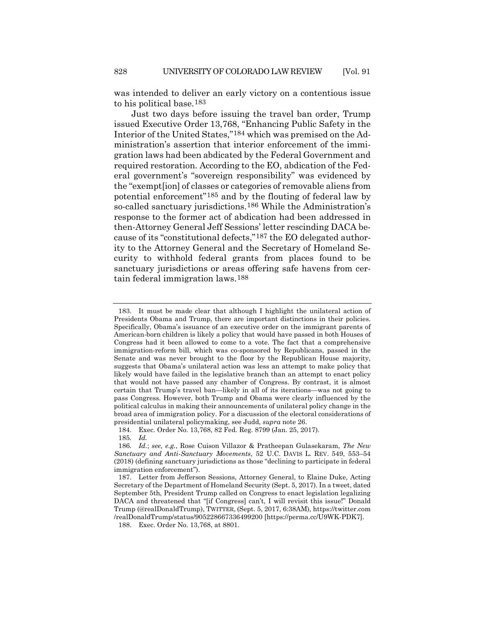was intended to deliver an early victory on a contentious issue to his political base.[183](#page-39-0)

Just two days before issuing the travel ban order, Trump issued Executive Order 13,768, "Enhancing Public Safety in the Interior of the United States,"[184](#page-39-1) which was premised on the Administration's assertion that interior enforcement of the immigration laws had been abdicated by the Federal Government and required restoration. According to the EO, abdication of the Federal government's "sovereign responsibility" was evidenced by the "exempt[ion] of classes or categories of removable aliens from potential enforcement"[185](#page-39-2) and by the flouting of federal law by so-called sanctuary jurisdictions.[186](#page-39-3) While the Administration's response to the former act of abdication had been addressed in then-Attorney General Jeff Sessions' letter rescinding DACA because of its "constitutional defects,"[187](#page-39-4) the EO delegated authority to the Attorney General and the Secretary of Homeland Security to withhold federal grants from places found to be sanctuary jurisdictions or areas offering safe havens from certain federal immigration laws.[188](#page-39-5)

<span id="page-39-0"></span><sup>183.</sup> It must be made clear that although I highlight the unilateral action of Presidents Obama and Trump, there are important distinctions in their policies. Specifically, Obama's issuance of an executive order on the immigrant parents of American-born children is likely a policy that would have passed in both Houses of Congress had it been allowed to come to a vote. The fact that a comprehensive immigration-reform bill, which was co-sponsored by Republicans, passed in the Senate and was never brought to the floor by the Republican House majority, suggests that Obama's unilateral action was less an attempt to make policy that likely would have failed in the legislative branch than an attempt to enact policy that would not have passed any chamber of Congress. By contrast, it is almost certain that Trump's travel ban—likely in all of its iterations—was not going to pass Congress. However, both Trump and Obama were clearly influenced by the political calculus in making their announcements of unilateral policy change in the broad area of immigration policy. For a discussion of the electoral considerations of presidential unilateral policymaking, see Judd, *supra* note [26.](#page-8-5)

<sup>184.</sup> Exec. Order No. 13,768, 82 Fed. Reg. 8799 (Jan. 25, 2017).

<sup>185</sup>*. Id.*

<span id="page-39-3"></span><span id="page-39-2"></span><span id="page-39-1"></span><sup>186</sup>*. Id.*; *see, e.g.*, Rose Cuison Villazor & Pratheepan Gulasekaram, *The New Sanctuary and Anti-Sanctuary Movements*, 52 U.C. DAVIS L. REV. 549, 553–54 (2018) (defining sanctuary jurisdictions as those "declining to participate in federal immigration enforcement").

<span id="page-39-4"></span><sup>187.</sup> Letter from Jefferson Sessions, Attorney General, to Elaine Duke, Acting Secretary of the Department of Homeland Security (Sept. 5, 2017). In a tweet, dated September 5th, President Trump called on Congress to enact legislation legalizing DACA and threatened that "[if Congress] can't, I will revisit this issue!" Donald Trump (@realDonaldTrump), TWITTER, (Sept. 5, 2017, 6:38AM), https://twitter.com /realDonaldTrump/status/905228667336499200 [https://perma.cc/U9WK-PDK7].

<span id="page-39-5"></span><sup>188.</sup> Exec. Order No. 13,768, at 8801.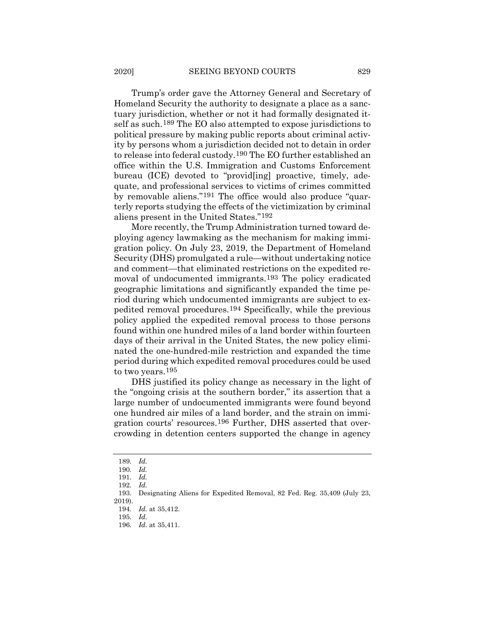Trump's order gave the Attorney General and Secretary of Homeland Security the authority to designate a place as a sanctuary jurisdiction, whether or not it had formally designated itself as such.[189](#page-40-0) The EO also attempted to expose jurisdictions to political pressure by making public reports about criminal activity by persons whom a jurisdiction decided not to detain in order to release into federal custody.[190](#page-40-1) The EO further established an office within the U.S. Immigration and Customs Enforcement bureau (ICE) devoted to "provid[ing] proactive, timely, adequate, and professional services to victims of crimes committed by removable aliens."[191](#page-40-2) The office would also produce "quarterly reports studying the effects of the victimization by criminal aliens present in the United States."[192](#page-40-3)

More recently, the Trump Administration turned toward deploying agency lawmaking as the mechanism for making immigration policy. On July 23, 2019, the Department of Homeland Security (DHS) promulgated a rule—without undertaking notice and comment—that eliminated restrictions on the expedited removal of undocumented immigrants.[193](#page-40-4) The policy eradicated geographic limitations and significantly expanded the time period during which undocumented immigrants are subject to expedited removal procedures.[194](#page-40-5) Specifically, while the previous policy applied the expedited removal process to those persons found within one hundred miles of a land border within fourteen days of their arrival in the United States, the new policy eliminated the one-hundred-mile restriction and expanded the time period during which expedited removal procedures could be used to two years.[195](#page-40-6)

DHS justified its policy change as necessary in the light of the "ongoing crisis at the southern border," its assertion that a large number of undocumented immigrants were found beyond one hundred air miles of a land border, and the strain on immigration courts' resources.[196](#page-40-7) Further, DHS asserted that overcrowding in detention centers supported the change in agency

<span id="page-40-0"></span><sup>189</sup>*. Id.*

<sup>190</sup>*. Id.*

<sup>191</sup>*. Id.*

<sup>192</sup>*. Id.*

<span id="page-40-6"></span><span id="page-40-5"></span><span id="page-40-4"></span><span id="page-40-3"></span><span id="page-40-2"></span><span id="page-40-1"></span><sup>193.</sup> Designating Aliens for Expedited Removal, 82 Fed. Reg. 35,409 (July 23, 2019).

<sup>194</sup>*. Id.* at 35,412.

<sup>195</sup>*. Id.*

<span id="page-40-7"></span><sup>196</sup>*. Id.* at 35,411.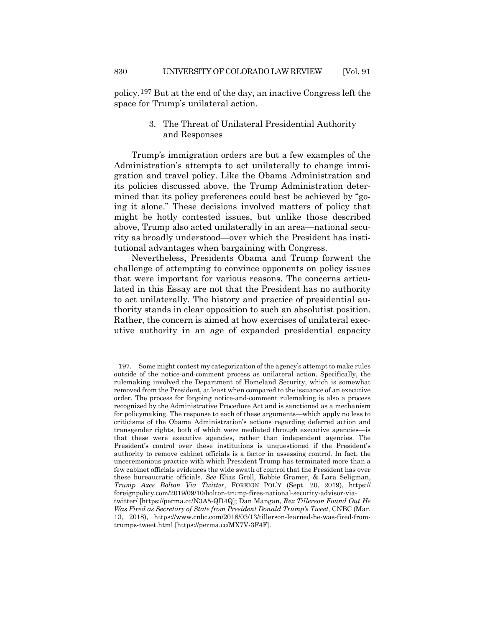policy.[197](#page-41-0) But at the end of the day, an inactive Congress left the space for Trump's unilateral action.

# 3. The Threat of Unilateral Presidential Authority and Responses

Trump's immigration orders are but a few examples of the Administration's attempts to act unilaterally to change immigration and travel policy. Like the Obama Administration and its policies discussed above, the Trump Administration determined that its policy preferences could best be achieved by "going it alone." These decisions involved matters of policy that might be hotly contested issues, but unlike those described above, Trump also acted unilaterally in an area—national security as broadly understood—over which the President has institutional advantages when bargaining with Congress.

Nevertheless, Presidents Obama and Trump forwent the challenge of attempting to convince opponents on policy issues that were important for various reasons. The concerns articulated in this Essay are not that the President has no authority to act unilaterally. The history and practice of presidential authority stands in clear opposition to such an absolutist position. Rather, the concern is aimed at how exercises of unilateral executive authority in an age of expanded presidential capacity

<span id="page-41-0"></span><sup>197.</sup> Some might contest my categorization of the agency's attempt to make rules outside of the notice-and-comment process as unilateral action. Specifically, the rulemaking involved the Department of Homeland Security, which is somewhat removed from the President, at least when compared to the issuance of an executive order. The process for forgoing notice-and-comment rulemaking is also a process recognized by the Administrative Procedure Act and is sanctioned as a mechanism for policymaking. The response to each of these arguments—which apply no less to criticisms of the Obama Administration's actions regarding deferred action and transgender rights, both of which were mediated through executive agencies—is that these were executive agencies, rather than independent agencies. The President's control over these institutions is unquestioned if the President's authority to remove cabinet officials is a factor in assessing control. In fact, the unceremonious practice with which President Trump has terminated more than a few cabinet officials evidences the wide swath of control that the President has over these bureaucratic officials. *See* Elias Groll, Robbie Gramer, & Lara Seligman, *Trump Axes Bolton Via Twitter*, FOREIGN POL'Y (Sept. 20, 2019), https:// foreignpolicy.com/2019/09/10/bolton-trump-fires-national-security-advisor-viatwitter/ [https://perma.cc/N3A5-QD4Q]; Dan Mangan, *Rex Tillerson Found Out He Was Fired as Secretary of State from President Donald Trump's Tweet*, CNBC (Mar. 13, 2018), https://www.cnbc.com/2018/03/13/tillerson-learned-he-was-fired-fromtrumps-tweet.html [https://perma.cc/MX7V-3F4F].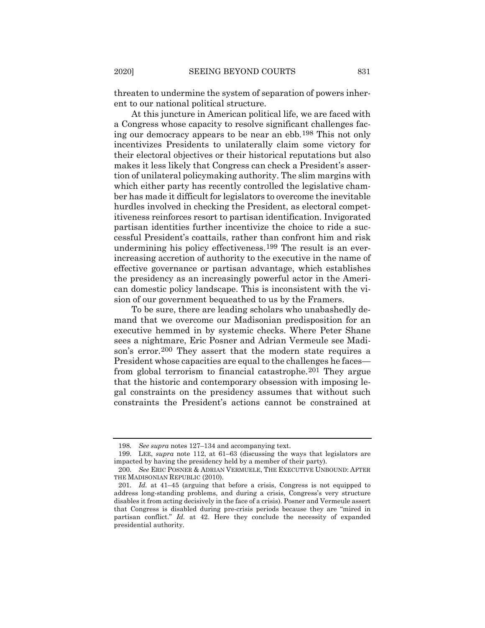threaten to undermine the system of separation of powers inherent to our national political structure.

At this juncture in American political life, we are faced with a Congress whose capacity to resolve significant challenges facing our democracy appears to be near an ebb.[198](#page-42-0) This not only incentivizes Presidents to unilaterally claim some victory for their electoral objectives or their historical reputations but also makes it less likely that Congress can check a President's assertion of unilateral policymaking authority. The slim margins with which either party has recently controlled the legislative chamber has made it difficult for legislators to overcome the inevitable hurdles involved in checking the President, as electoral competitiveness reinforces resort to partisan identification. Invigorated partisan identities further incentivize the choice to ride a successful President's coattails, rather than confront him and risk undermining his policy effectiveness.[199](#page-42-1) The result is an everincreasing accretion of authority to the executive in the name of effective governance or partisan advantage, which establishes the presidency as an increasingly powerful actor in the American domestic policy landscape. This is inconsistent with the vision of our government bequeathed to us by the Framers.

To be sure, there are leading scholars who unabashedly demand that we overcome our Madisonian predisposition for an executive hemmed in by systemic checks. Where Peter Shane sees a nightmare, Eric Posner and Adrian Vermeule see Madi-son's error.<sup>[200](#page-42-2)</sup> They assert that the modern state requires a President whose capacities are equal to the challenges he faces from global terrorism to financial catastrophe.[201](#page-42-3) They argue that the historic and contemporary obsession with imposing legal constraints on the presidency assumes that without such constraints the President's actions cannot be constrained at

<sup>198</sup>*. See supra* notes 127–134 and accompanying text.

<span id="page-42-1"></span><span id="page-42-0"></span><sup>199.</sup> LEE, *supra* note [112,](#page-25-3) at 61–63 (discussing the ways that legislators are impacted by having the presidency held by a member of their party).

<span id="page-42-2"></span><sup>200</sup>*. See* ERIC POSNER & ADRIAN VERMUELE, THE EXECUTIVE UNBOUND: AFTER THE MADISONIAN REPUBLIC (2010).

<span id="page-42-3"></span><sup>201</sup>*. Id.* at 41–45 (arguing that before a crisis, Congress is not equipped to address long-standing problems, and during a crisis, Congress's very structure disables it from acting decisively in the face of a crisis). Posner and Vermeule assert that Congress is disabled during pre-crisis periods because they are "mired in partisan conflict." *Id.* at 42. Here they conclude the necessity of expanded presidential authority.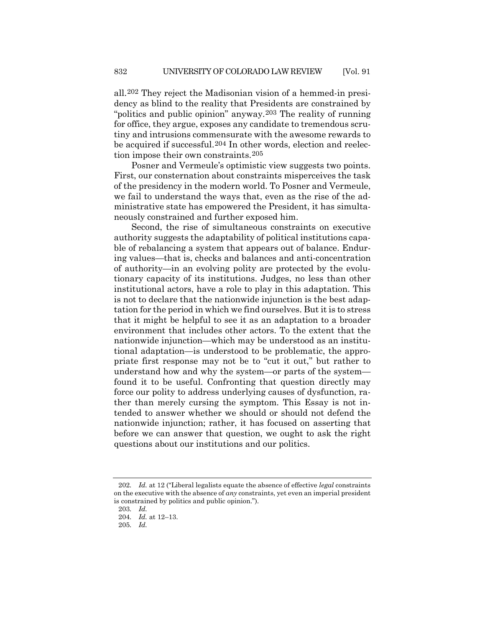all.[202](#page-43-0) They reject the Madisonian vision of a hemmed-in presidency as blind to the reality that Presidents are constrained by "politics and public opinion" anyway.[203](#page-43-1) The reality of running for office, they argue, exposes any candidate to tremendous scrutiny and intrusions commensurate with the awesome rewards to be acquired if successful.[204](#page-43-2) In other words, election and reelection impose their own constraints.[205](#page-43-3)

Posner and Vermeule's optimistic view suggests two points. First, our consternation about constraints misperceives the task of the presidency in the modern world. To Posner and Vermeule, we fail to understand the ways that, even as the rise of the administrative state has empowered the President, it has simultaneously constrained and further exposed him.

Second, the rise of simultaneous constraints on executive authority suggests the adaptability of political institutions capable of rebalancing a system that appears out of balance. Enduring values—that is, checks and balances and anti-concentration of authority—in an evolving polity are protected by the evolutionary capacity of its institutions. Judges, no less than other institutional actors, have a role to play in this adaptation. This is not to declare that the nationwide injunction is the best adaptation for the period in which we find ourselves. But it is to stress that it might be helpful to see it as an adaptation to a broader environment that includes other actors. To the extent that the nationwide injunction—which may be understood as an institutional adaptation—is understood to be problematic, the appropriate first response may not be to "cut it out," but rather to understand how and why the system—or parts of the system found it to be useful. Confronting that question directly may force our polity to address underlying causes of dysfunction, rather than merely cursing the symptom. This Essay is not intended to answer whether we should or should not defend the nationwide injunction; rather, it has focused on asserting that before we can answer that question, we ought to ask the right questions about our institutions and our politics.

<span id="page-43-2"></span><span id="page-43-1"></span><span id="page-43-0"></span><sup>202</sup>*. Id.* at 12 ("Liberal legalists equate the absence of effective *legal* constraints on the executive with the absence of *any* constraints, yet even an imperial president is constrained by politics and public opinion.").

<sup>203</sup>*. Id.*

<sup>204</sup>*. Id.* at 12–13.

<span id="page-43-3"></span><sup>205</sup>*. Id.*